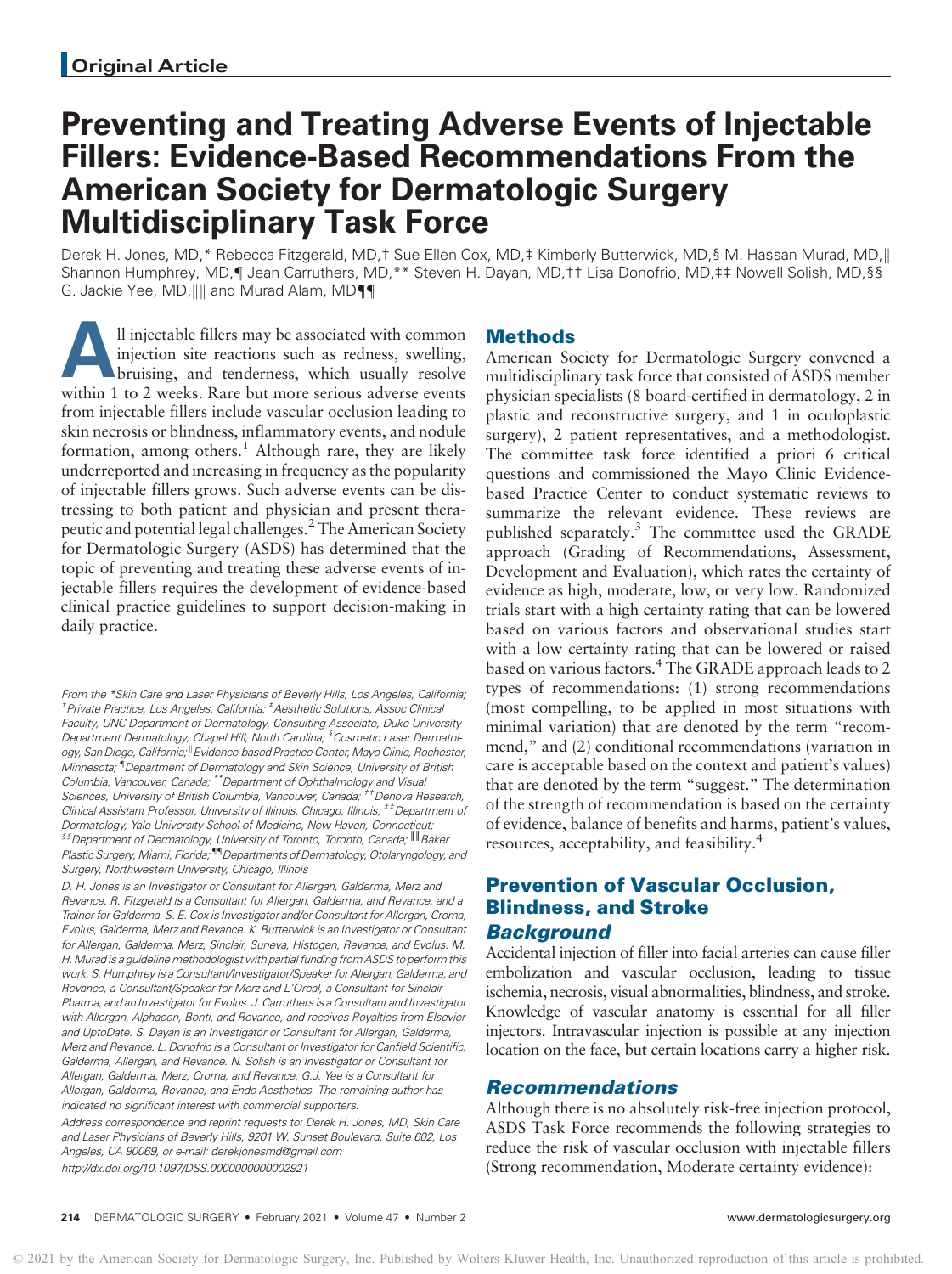# Preventing and Treating Adverse Events of Injectable Fillers: Evidence-Based Recommendations From the American Society for Dermatologic Surgery Multidisciplinary Task Force

Derek H. Jones, MD,\* Rebecca Fitzgerald, MD,† Sue Ellen Cox, MD,‡ Kimberly Butterwick, MD,§ M. Hassan Murad, MD,|| Shannon Humphrey, MD,¶ Jean Carruthers, MD,\*\* Steven H. Dayan, MD,†† Lisa Donofrio, MD,‡‡ Nowell Solish, MD,§§ G. Jackie Yee, MD,  $\| \cdot \|$  and Murad Alam, MD ${\P}$ 

Il injectable fillers may be associated with common<br>injection site reactions such as redness, swelling,<br>bruising, and tenderness, which usually resolve<br>within 1 to 2 weeks. Bare but more serious adverse events injection site reactions such as redness, swelling, bruising, and tenderness, which usually resolve within 1 to 2 weeks. Rare but more serious adverse events from injectable fillers include vascular occlusion leading to skin necrosis or blindness, inflammatory events, and nodule formation, among others.<sup>1</sup> Although rare, they are likely underreported and increasing in frequency as the popularity of injectable fillers grows. Such adverse events can be distressing to both patient and physician and present therapeutic and potential legal challenges.2The American Society for Dermatologic Surgery (ASDS) has determined that the topic of preventing and treating these adverse events of injectable fillers requires the development of evidence-based clinical practice guidelines to support decision-making in daily practice.

From the \*Skin Care and Laser Physicians of Beverly Hills, Los Angeles, California; <sup>†</sup> Private Practice, Los Angeles, California; <sup>‡</sup> Aesthetic Solutions, Assoc Clinica Faculty, UNC Department of Dermatology, Consulting Associate, Duke University Department Dermatology, Chapel Hill, North Carolina; <sup>§</sup> Cosmetic Laser Dermatology, San Diego, California; <sup>II</sup> Evidence-based Practice Center, Mayo Clinic, Rochester, Minnesota; { Department of Dermatology and Skin Science, University of British Columbia, Vancouver, Canada; \*\*Department of Ophthalmology and Visual Sciences, University of British Columbia, Vancouver, Canada; <sup>††</sup>Denova Research, Clinical Assistant Professor, University of Illinois, Chicago, Illinois; <sup>##</sup>Department of Dermatology, Yale University School of Medicine, New Haven, Connecticut; §§Department of Dermatology, University of Toronto, Toronto, Canada; ║║Baker Plastic Surgery, Miami, Florida; "<sup>1</sup> Departments of Dermatology, Otolaryngology, and Surgery, Northwestern University, Chicago, Illinois

D. H. Jones is an Investigator or Consultant for Allergan, Galderma, Merz and Revance. R. Fitzgerald is a Consultant for Allergan, Galderma, and Revance, and a Trainer for Galderma. S. E. Cox is Investigator and/or Consultant for Allergan, Croma, Evolus, Galderma, Merz and Revance. K. Butterwick is an Investigator or Consultant for Allergan, Galderma, Merz, Sinclair, Suneva, Histogen, Revance, and Evolus. M. H. Murad is a guideline methodologist with partial funding from ASDS to perform this work. S. Humphrey is a Consultant/Investigator/Speaker for Allergan, Galderma, and Revance, a Consultant/Speaker for Merz and L'Oreal, a Consultant for Sinclair Pharma, and an Investigator for Evolus. J. Carruthers is a Consultant and Investigator with Allergan, Alphaeon, Bonti, and Revance, and receives Royalties from Elsevier and UptoDate. S. Dayan is an Investigator or Consultant for Allergan, Galderma, Merz and Revance. L. Donofrio is a Consultant or Investigator for Canfield Scientific, Galderma, Allergan, and Revance. N. Solish is an Investigator or Consultant for Allergan, Galderma, Merz, Croma, and Revance. G.J. Yee is a Consultant for Allergan, Galderma, Revance, and Endo Aesthetics. The remaining author has indicated no significant interest with commercial supporters. Address correspondence and reprint requests to: Derek H. Jones, MD, Skin Care and Laser Physicians of Beverly Hills, 9201 W. Sunset Boulevard, Suite 602, Los Angeles, CA 90069, or e-mail: derekjonesmd@gmail.com

<http://dx.doi.org/10.1097/DSS.0000000000002921>

### **Methods**

American Society for Dermatologic Surgery convened a multidisciplinary task force that consisted of ASDS member physician specialists (8 board-certified in dermatology, 2 in plastic and reconstructive surgery, and 1 in oculoplastic surgery), 2 patient representatives, and a methodologist. The committee task force identified a priori 6 critical questions and commissioned the Mayo Clinic Evidencebased Practice Center to conduct systematic reviews to summarize the relevant evidence. These reviews are published separately.<sup>3</sup> The committee used the GRADE approach (Grading of Recommendations, Assessment, Development and Evaluation), which rates the certainty of evidence as high, moderate, low, or very low. Randomized trials start with a high certainty rating that can be lowered based on various factors and observational studies start with a low certainty rating that can be lowered or raised based on various factors.<sup>4</sup> The GRADE approach leads to 2 types of recommendations: (1) strong recommendations (most compelling, to be applied in most situations with minimal variation) that are denoted by the term "recommend," and (2) conditional recommendations (variation in care is acceptable based on the context and patient's values) that are denoted by the term "suggest." The determination of the strength of recommendation is based on the certainty of evidence, balance of benefits and harms, patient's values, resources, acceptability, and feasibility.<sup>4</sup>

# Prevention of Vascular Occlusion, Blindness, and Stroke **Background**

Accidental injection of filler into facial arteries can cause filler embolization and vascular occlusion, leading to tissue ischemia, necrosis, visual abnormalities, blindness, and stroke. Knowledge of vascular anatomy is essential for all filler injectors. Intravascular injection is possible at any injection location on the face, but certain locations carry a higher risk.

### Recommendations

Although there is no absolutely risk-free injection protocol, ASDS Task Force recommends the following strategies to reduce the risk of vascular occlusion with injectable fillers (Strong recommendation, Moderate certainty evidence):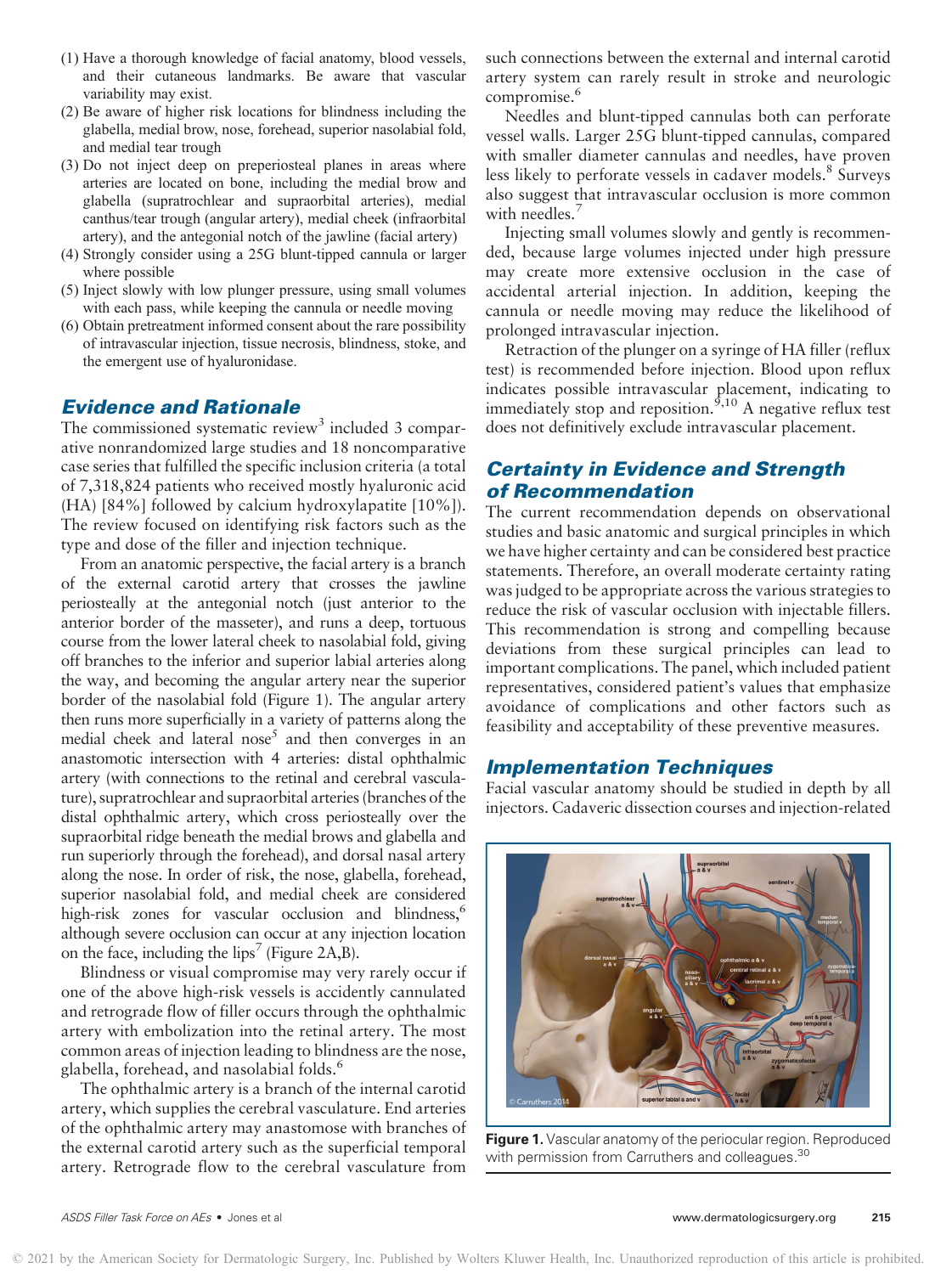- (1) Have a thorough knowledge of facial anatomy, blood vessels, and their cutaneous landmarks. Be aware that vascular variability may exist.
- (2) Be aware of higher risk locations for blindness including the glabella, medial brow, nose, forehead, superior nasolabial fold, and medial tear trough
- (3) Do not inject deep on preperiosteal planes in areas where arteries are located on bone, including the medial brow and glabella (supratrochlear and supraorbital arteries), medial canthus/tear trough (angular artery), medial cheek (infraorbital artery), and the antegonial notch of the jawline (facial artery)
- (4) Strongly consider using a 25G blunt-tipped cannula or larger where possible
- (5) Inject slowly with low plunger pressure, using small volumes with each pass, while keeping the cannula or needle moving
- (6) Obtain pretreatment informed consent about the rare possibility of intravascular injection, tissue necrosis, blindness, stoke, and the emergent use of hyaluronidase.

### Evidence and Rationale

The commissioned systematic review<sup>3</sup> included 3 comparative nonrandomized large studies and 18 noncomparative case series that fulfilled the specific inclusion criteria (a total of 7,318,824 patients who received mostly hyaluronic acid (HA) [84%] followed by calcium hydroxylapatite [10%]). The review focused on identifying risk factors such as the type and dose of the filler and injection technique.

From an anatomic perspective, the facial artery is a branch of the external carotid artery that crosses the jawline periosteally at the antegonial notch (just anterior to the anterior border of the masseter), and runs a deep, tortuous course from the lower lateral cheek to nasolabial fold, giving off branches to the inferior and superior labial arteries along the way, and becoming the angular artery near the superior border of the nasolabial fold (Figure 1). The angular artery then runs more superficially in a variety of patterns along the medial cheek and lateral  $nose<sup>5</sup>$  and then converges in an anastomotic intersection with 4 arteries: distal ophthalmic artery (with connections to the retinal and cerebral vasculature), supratrochlear and supraorbital arteries (branches of the distal ophthalmic artery, which cross periosteally over the supraorbital ridge beneath the medial brows and glabella and run superiorly through the forehead), and dorsal nasal artery along the nose. In order of risk, the nose, glabella, forehead, superior nasolabial fold, and medial cheek are considered high-risk zones for vascular occlusion and blindness,<sup>6</sup> although severe occlusion can occur at any injection location on the face, including the lips<sup>7</sup> (Figure 2A,B).

Blindness or visual compromise may very rarely occur if one of the above high-risk vessels is accidently cannulated and retrograde flow of filler occurs through the ophthalmic artery with embolization into the retinal artery. The most common areas of injection leading to blindness are the nose, glabella, forehead, and nasolabial folds.<sup>6</sup>

The ophthalmic artery is a branch of the internal carotid artery, which supplies the cerebral vasculature. End arteries of the ophthalmic artery may anastomose with branches of the external carotid artery such as the superficial temporal artery. Retrograde flow to the cerebral vasculature from

such connections between the external and internal carotid artery system can rarely result in stroke and neurologic compromise.<sup>6</sup>

Needles and blunt-tipped cannulas both can perforate vessel walls. Larger 25G blunt-tipped cannulas, compared with smaller diameter cannulas and needles, have proven less likely to perforate vessels in cadaver models.<sup>8</sup> Surveys also suggest that intravascular occlusion is more common with needles.<sup>7</sup>

Injecting small volumes slowly and gently is recommended, because large volumes injected under high pressure may create more extensive occlusion in the case of accidental arterial injection. In addition, keeping the cannula or needle moving may reduce the likelihood of prolonged intravascular injection.

Retraction of the plunger on a syringe of HA filler (reflux test) is recommended before injection. Blood upon reflux indicates possible intravascular placement, indicating to immediately stop and reposition.<sup> $5,10$ </sup> A negative reflux test does not definitively exclude intravascular placement.

# Certainty in Evidence and Strength of Recommendation

The current recommendation depends on observational studies and basic anatomic and surgical principles in which we have higher certainty and can be considered best practice statements. Therefore, an overall moderate certainty rating was judged to be appropriate across the various strategies to reduce the risk of vascular occlusion with injectable fillers. This recommendation is strong and compelling because deviations from these surgical principles can lead to important complications. The panel, which included patient representatives, considered patient's values that emphasize avoidance of complications and other factors such as feasibility and acceptability of these preventive measures.

### Implementation Techniques

Facial vascular anatomy should be studied in depth by all injectors. Cadaveric dissection courses and injection-related



Figure 1. Vascular anatomy of the periocular region. Reproduced with permission from Carruthers and colleagues.<sup>30</sup>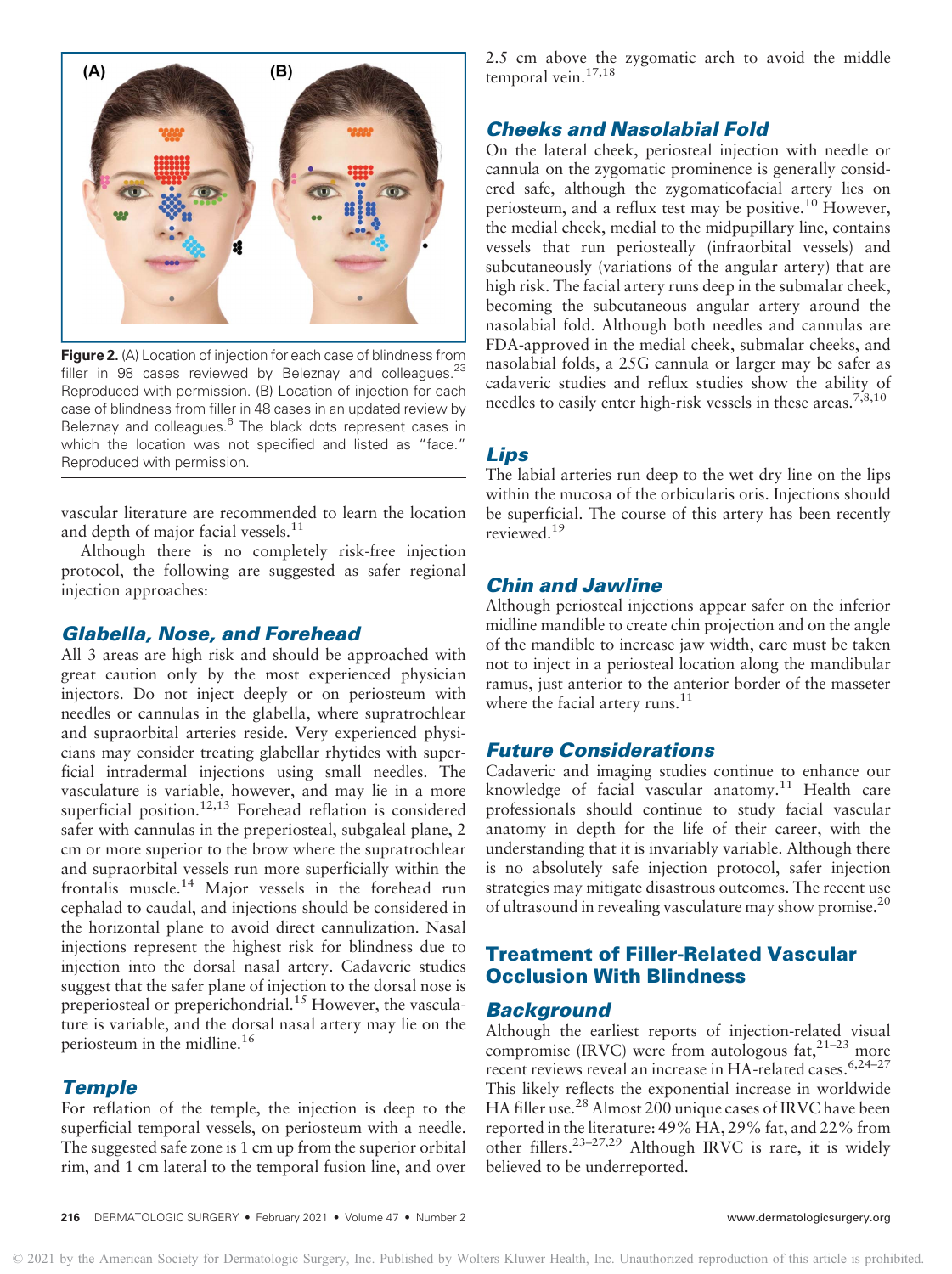

**Figure 2.** (A) Location of injection for each case of blindness from filler in 98 cases reviewed by Beleznay and colleagues. $^{23}$ Reproduced with permission. (B) Location of injection for each case of blindness from filler in 48 cases in an updated review by Beleznay and colleagues.<sup>6</sup> The black dots represent cases in which the location was not specified and listed as "face." Reproduced with permission.

vascular literature are recommended to learn the location and depth of major facial vessels.<sup>11</sup>

Although there is no completely risk-free injection protocol, the following are suggested as safer regional injection approaches:

### Glabella, Nose, and Forehead

All 3 areas are high risk and should be approached with great caution only by the most experienced physician injectors. Do not inject deeply or on periosteum with needles or cannulas in the glabella, where supratrochlear and supraorbital arteries reside. Very experienced physicians may consider treating glabellar rhytides with superficial intradermal injections using small needles. The vasculature is variable, however, and may lie in a more superficial position.<sup>12,13</sup> Forehead reflation is considered safer with cannulas in the preperiosteal, subgaleal plane, 2 cm or more superior to the brow where the supratrochlear and supraorbital vessels run more superficially within the frontalis muscle.<sup>14</sup> Major vessels in the forehead run cephalad to caudal, and injections should be considered in the horizontal plane to avoid direct cannulization. Nasal injections represent the highest risk for blindness due to injection into the dorsal nasal artery. Cadaveric studies suggest that the safer plane of injection to the dorsal nose is preperiosteal or preperichondrial.<sup>15</sup> However, the vasculature is variable, and the dorsal nasal artery may lie on the periosteum in the midline.<sup>16</sup>

### **Temple**

For reflation of the temple, the injection is deep to the superficial temporal vessels, on periosteum with a needle. The suggested safe zone is 1 cm up from the superior orbital rim, and 1 cm lateral to the temporal fusion line, and over

2.5 cm above the zygomatic arch to avoid the middle temporal vein.<sup>17,18</sup>

## Cheeks and Nasolabial Fold

On the lateral cheek, periosteal injection with needle or cannula on the zygomatic prominence is generally considered safe, although the zygomaticofacial artery lies on periosteum, and a reflux test may be positive.<sup>10</sup> However, the medial cheek, medial to the midpupillary line, contains vessels that run periosteally (infraorbital vessels) and subcutaneously (variations of the angular artery) that are high risk. The facial artery runs deep in the submalar cheek, becoming the subcutaneous angular artery around the nasolabial fold. Although both needles and cannulas are FDA-approved in the medial cheek, submalar cheeks, and nasolabial folds, a 25G cannula or larger may be safer as cadaveric studies and reflux studies show the ability of needles to easily enter high-risk vessels in these areas.<sup>7,8,10</sup>

# Lips

The labial arteries run deep to the wet dry line on the lips within the mucosa of the orbicularis oris. Injections should be superficial. The course of this artery has been recently reviewed.<sup>19</sup>

# Chin and Jawline

Although periosteal injections appear safer on the inferior midline mandible to create chin projection and on the angle of the mandible to increase jaw width, care must be taken not to inject in a periosteal location along the mandibular ramus, just anterior to the anterior border of the masseter where the facial artery runs. $11$ 

### Future Considerations

Cadaveric and imaging studies continue to enhance our knowledge of facial vascular anatomy.<sup>11</sup> Health care professionals should continue to study facial vascular anatomy in depth for the life of their career, with the understanding that it is invariably variable. Although there is no absolutely safe injection protocol, safer injection strategies may mitigate disastrous outcomes. The recent use of ultrasound in revealing vasculature may show promise.<sup>20</sup>

# Treatment of Filler-Related Vascular Occlusion With Blindness

### **Background**

Although the earliest reports of injection-related visual compromise (IRVC) were from autologous fat,  $2^{1-23}$  more recent reviews reveal an increase in HA-related cases.<sup>6,24-27</sup> This likely reflects the exponential increase in worldwide HA filler use.<sup>28</sup> Almost 200 unique cases of IRVC have been reported in the literature: 49% HA, 29% fat, and 22% from other fillers.23–27,29 Although IRVC is rare, it is widely believed to be underreported.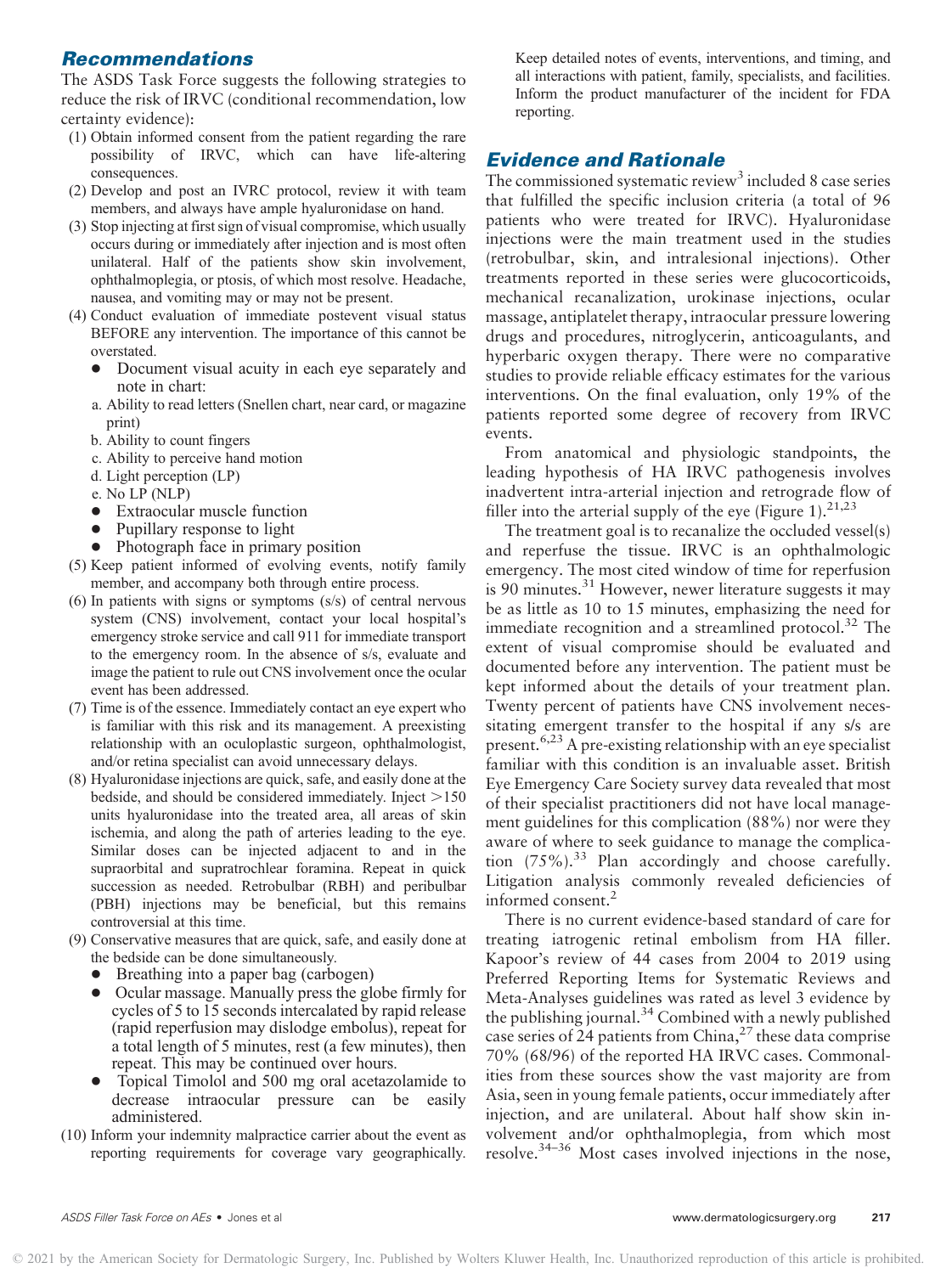# Recommendations

The ASDS Task Force suggests the following strategies to reduce the risk of IRVC (conditional recommendation, low certainty evidence):

- (1) Obtain informed consent from the patient regarding the rare possibility of IRVC, which can have life-altering consequences.
- (2) Develop and post an IVRC protocol, review it with team members, and always have ample hyaluronidase on hand.
- (3) Stop injecting at first sign of visual compromise, which usually occurs during or immediately after injection and is most often unilateral. Half of the patients show skin involvement, ophthalmoplegia, or ptosis, of which most resolve. Headache, nausea, and vomiting may or may not be present.
- (4) Conduct evaluation of immediate postevent visual status BEFORE any intervention. The importance of this cannot be overstated.
	- $\bullet$  Document visual acuity in each eye separately and note in chart:
	- a. Ability to read letters (Snellen chart, near card, or magazine print)
	- b. Ability to count fingers
	- c. Ability to perceive hand motion
	- d. Light perception (LP)
	- e. No LP (NLP)
	- Extraocular muscle function
	- -Pupillary response to light
	- Photograph face in primary position
- (5) Keep patient informed of evolving events, notify family member, and accompany both through entire process.
- (6) In patients with signs or symptoms (s/s) of central nervous system (CNS) involvement, contact your local hospital's emergency stroke service and call 911 for immediate transport to the emergency room. In the absence of s/s, evaluate and image the patient to rule out CNS involvement once the ocular event has been addressed.
- (7) Time is of the essence. Immediately contact an eye expert who is familiar with this risk and its management. A preexisting relationship with an oculoplastic surgeon, ophthalmologist, and/or retina specialist can avoid unnecessary delays.
- (8) Hyaluronidase injections are quick, safe, and easily done at the bedside, and should be considered immediately. Inject  $>150$ units hyaluronidase into the treated area, all areas of skin ischemia, and along the path of arteries leading to the eye. Similar doses can be injected adjacent to and in the supraorbital and supratrochlear foramina. Repeat in quick succession as needed. Retrobulbar (RBH) and peribulbar (PBH) injections may be beneficial, but this remains controversial at this time.
- (9) Conservative measures that are quick, safe, and easily done at the bedside can be done simultaneously.
	- Breathing into a paper bag (carbogen)
	- Ocular massage. Manually press the globe firmly for<br>system of 5 to 15 cases do interested by maid release cycles of 5 to 15 seconds intercalated by rapid release (rapid reperfusion may dislodge embolus), repeat for a total length of 5 minutes, rest (a few minutes), then repeat. This may be continued over hours.
	- $\bullet$  Topical Timolol and 500 mg oral acetazolamide to decrease intraocular pressure can be easily administered.
- (10) Inform your indemnity malpractice carrier about the event as reporting requirements for coverage vary geographically.

Keep detailed notes of events, interventions, and timing, and all interactions with patient, family, specialists, and facilities. Inform the product manufacturer of the incident for FDA reporting.

# Evidence and Rationale

The commissioned systematic review<sup>3</sup> included 8 case series that fulfilled the specific inclusion criteria (a total of 96 patients who were treated for IRVC). Hyaluronidase injections were the main treatment used in the studies (retrobulbar, skin, and intralesional injections). Other treatments reported in these series were glucocorticoids, mechanical recanalization, urokinase injections, ocular massage, antiplatelet therapy, intraocular pressure lowering drugs and procedures, nitroglycerin, anticoagulants, and hyperbaric oxygen therapy. There were no comparative studies to provide reliable efficacy estimates for the various interventions. On the final evaluation, only 19% of the patients reported some degree of recovery from IRVC events.

From anatomical and physiologic standpoints, the leading hypothesis of HA IRVC pathogenesis involves inadvertent intra-arterial injection and retrograde flow of filler into the arterial supply of the eye (Figure 1).<sup>21,23</sup>

The treatment goal is to recanalize the occluded vessel(s) and reperfuse the tissue. IRVC is an ophthalmologic emergency. The most cited window of time for reperfusion is 90 minutes.<sup>31</sup> However, newer literature suggests it may be as little as 10 to 15 minutes, emphasizing the need for immediate recognition and a streamlined protocol.<sup>32</sup> The extent of visual compromise should be evaluated and documented before any intervention. The patient must be kept informed about the details of your treatment plan. Twenty percent of patients have CNS involvement necessitating emergent transfer to the hospital if any s/s are present.<sup>6,23</sup> A pre-existing relationship with an eye specialist familiar with this condition is an invaluable asset. British Eye Emergency Care Society survey data revealed that most of their specialist practitioners did not have local management guidelines for this complication (88%) nor were they aware of where to seek guidance to manage the complication  $(75\%)$ .<sup>33</sup> Plan accordingly and choose carefully. Litigation analysis commonly revealed deficiencies of informed consent.<sup>2</sup>

There is no current evidence-based standard of care for treating iatrogenic retinal embolism from HA filler. Kapoor's review of 44 cases from 2004 to 2019 using Preferred Reporting Items for Systematic Reviews and Meta-Analyses guidelines was rated as level 3 evidence by the publishing journal.<sup>34</sup> Combined with a newly published case series of 24 patients from China,<sup>27</sup> these data comprise 70% (68/96) of the reported HA IRVC cases. Commonalities from these sources show the vast majority are from Asia, seen in young female patients, occur immediately after injection, and are unilateral. About half show skin involvement and/or ophthalmoplegia, from which most resolve.34–<sup>36</sup> Most cases involved injections in the nose,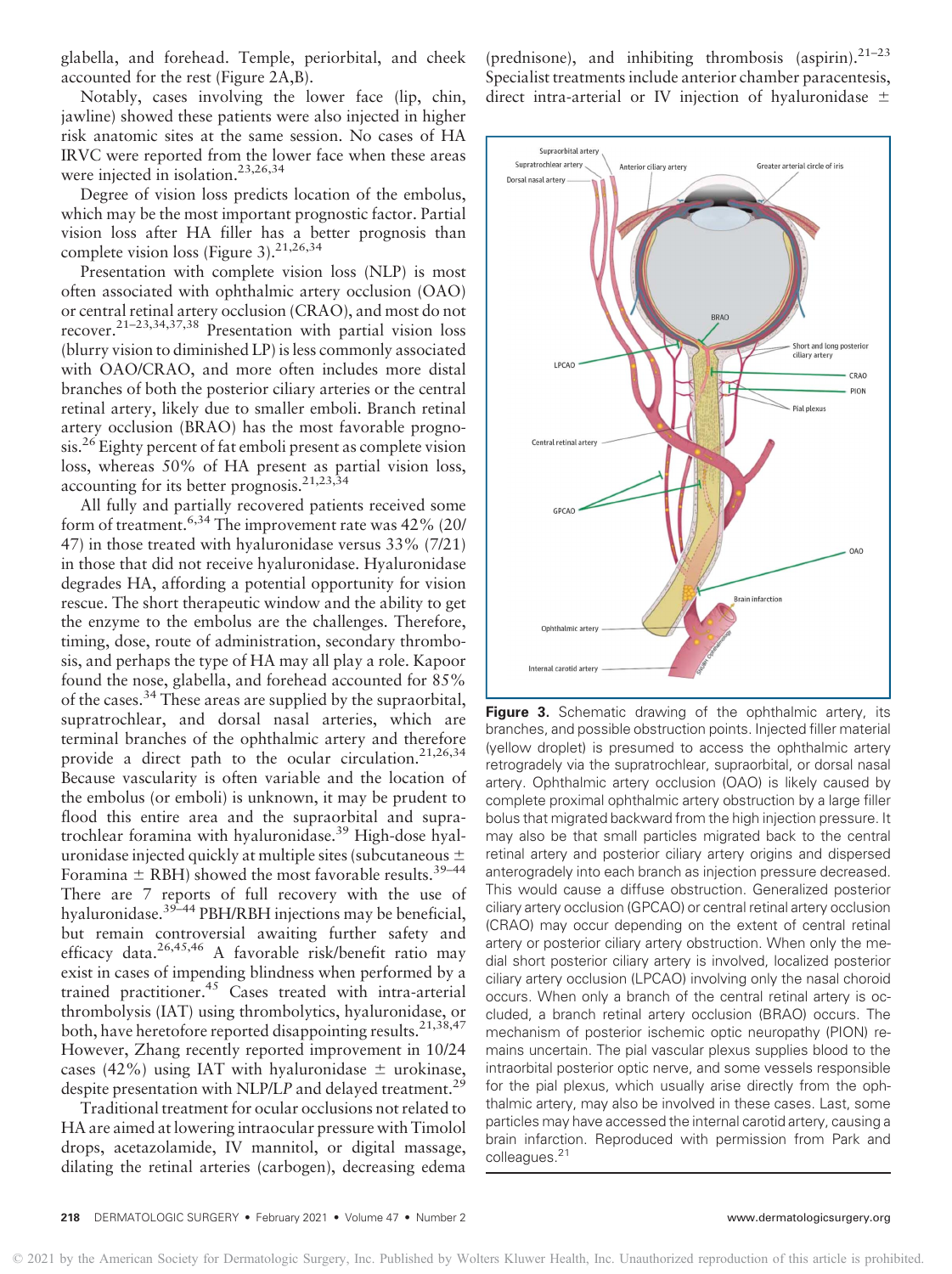glabella, and forehead. Temple, periorbital, and cheek accounted for the rest (Figure 2A,B).

Notably, cases involving the lower face (lip, chin, jawline) showed these patients were also injected in higher risk anatomic sites at the same session. No cases of HA IRVC were reported from the lower face when these areas were injected in isolation.23,26,34

Degree of vision loss predicts location of the embolus, which may be the most important prognostic factor. Partial vision loss after HA filler has a better prognosis than complete vision loss (Figure 3).<sup>21,26,34</sup>

Presentation with complete vision loss (NLP) is most often associated with ophthalmic artery occlusion (OAO) or central retinal artery occlusion (CRAO), and most do not recover.<sup>21-23,34,37,38</sup> Presentation with partial vision loss (blurry vision to diminished LP) is less commonly associated with OAO/CRAO, and more often includes more distal branches of both the posterior ciliary arteries or the central retinal artery, likely due to smaller emboli. Branch retinal artery occlusion (BRAO) has the most favorable prognosis.<sup>26</sup> Eighty percent of fat emboli present as complete vision loss, whereas 50% of HA present as partial vision loss, accounting for its better prognosis.<sup>21,23,34</sup>

All fully and partially recovered patients received some form of treatment.6,34 The improvement rate was 42% (20/ 47) in those treated with hyaluronidase versus 33% (7/21) in those that did not receive hyaluronidase. Hyaluronidase degrades HA, affording a potential opportunity for vision rescue. The short therapeutic window and the ability to get the enzyme to the embolus are the challenges. Therefore, timing, dose, route of administration, secondary thrombosis, and perhaps the type of HA may all play a role. Kapoor found the nose, glabella, and forehead accounted for 85% of the cases.<sup>34</sup> These areas are supplied by the supraorbital, supratrochlear, and dorsal nasal arteries, which are terminal branches of the ophthalmic artery and therefore provide a direct path to the ocular circulation.<sup>21,26,34</sup> Because vascularity is often variable and the location of the embolus (or emboli) is unknown, it may be prudent to flood this entire area and the supraorbital and supratrochlear foramina with hyaluronidase.<sup>39</sup> High-dose hyaluronidase injected quickly at multiple sites (subcutaneous  $\pm$ Foramina  $\pm$  RBH) showed the most favorable results.<sup>39–44</sup> There are 7 reports of full recovery with the use of hyaluronidase.<sup>39–44</sup> PBH/RBH injections may be beneficial, but remain controversial awaiting further safety and efficacy data.<sup>26,45,46</sup> A favorable risk/benefit ratio may exist in cases of impending blindness when performed by a trained practitioner.<sup>45</sup> Cases treated with intra-arterial thrombolysis (IAT) using thrombolytics, hyaluronidase, or both, have heretofore reported disappointing results.  $2^{1,38,47}$ However, Zhang recently reported improvement in 10/24 cases (42%) using IAT with hyaluronidase  $\pm$  urokinase, despite presentation with NLP/LP and delayed treatment.<sup>29</sup>

Traditional treatment for ocular occlusions not related to HA are aimed at lowering intraocular pressure with Timolol drops, acetazolamide, IV mannitol, or digital massage, dilating the retinal arteries (carbogen), decreasing edema (prednisone), and inhibiting thrombosis (aspirin). $21-23$ Specialist treatments include anterior chamber paracentesis, direct intra-arterial or IV injection of hyaluronidase  $\pm$ 



Figure 3. Schematic drawing of the ophthalmic artery, its branches, and possible obstruction points. Injected filler material (yellow droplet) is presumed to access the ophthalmic artery retrogradely via the supratrochlear, supraorbital, or dorsal nasal artery. Ophthalmic artery occlusion (OAO) is likely caused by complete proximal ophthalmic artery obstruction by a large filler bolus that migrated backward from the high injection pressure. It may also be that small particles migrated back to the central retinal artery and posterior ciliary artery origins and dispersed anterogradely into each branch as injection pressure decreased. This would cause a diffuse obstruction. Generalized posterior ciliary artery occlusion (GPCAO) or central retinal artery occlusion (CRAO) may occur depending on the extent of central retinal artery or posterior ciliary artery obstruction. When only the medial short posterior ciliary artery is involved, localized posterior ciliary artery occlusion (LPCAO) involving only the nasal choroid occurs. When only a branch of the central retinal artery is occluded, a branch retinal artery occlusion (BRAO) occurs. The mechanism of posterior ischemic optic neuropathy (PION) remains uncertain. The pial vascular plexus supplies blood to the intraorbital posterior optic nerve, and some vessels responsible for the pial plexus, which usually arise directly from the ophthalmic artery, may also be involved in these cases. Last, some particles may have accessed the internal carotid artery, causing a brain infarction. Reproduced with permission from Park and colleagues.<sup>21</sup>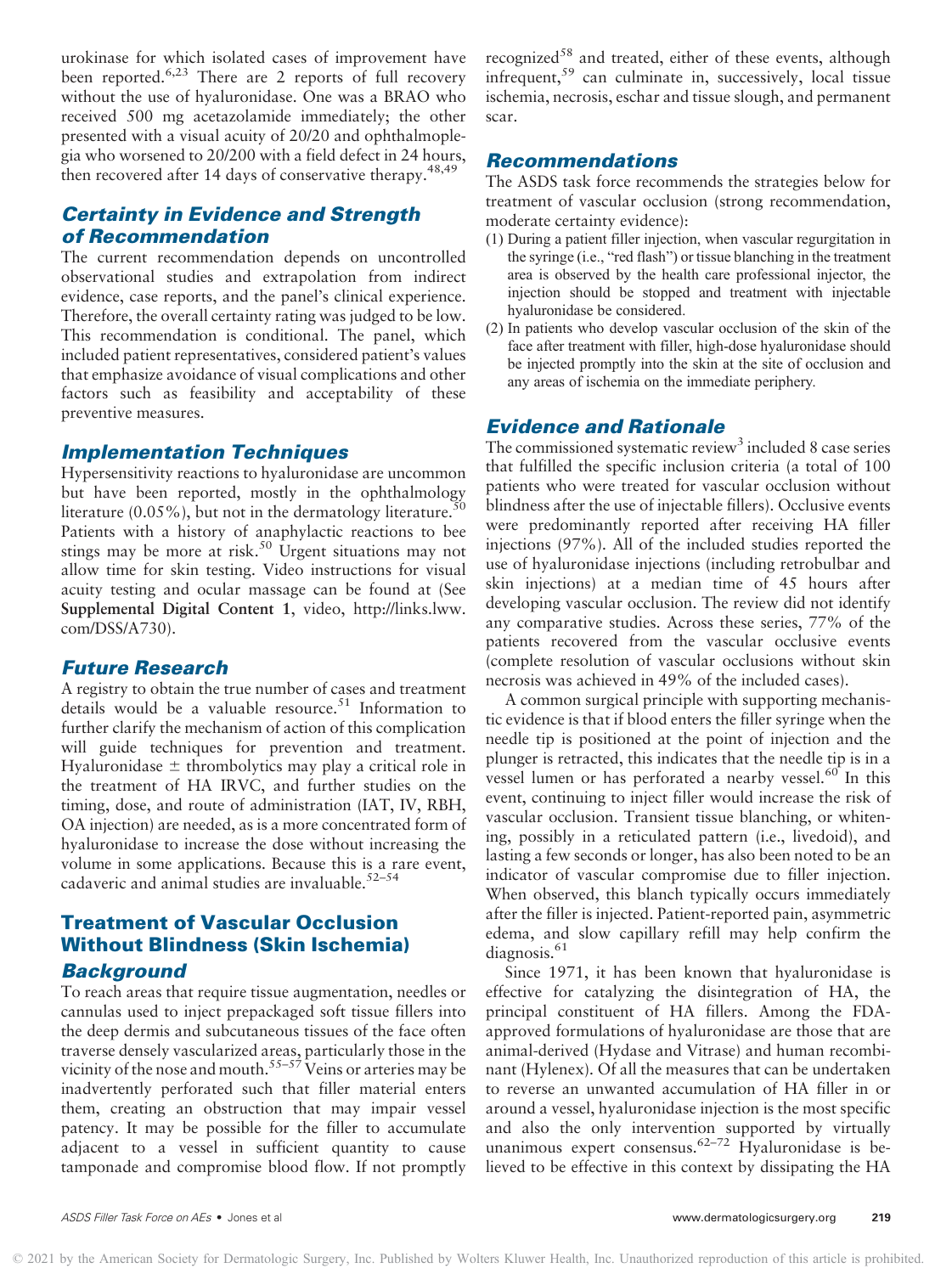urokinase for which isolated cases of improvement have been reported.<sup>6,23</sup> There are 2 reports of full recovery without the use of hyaluronidase. One was a BRAO who received 500 mg acetazolamide immediately; the other presented with a visual acuity of 20/20 and ophthalmoplegia who worsened to 20/200 with a field defect in 24 hours, then recovered after 14 days of conservative therapy.<sup>48,49</sup>

# Certainty in Evidence and Strength of Recommendation

The current recommendation depends on uncontrolled observational studies and extrapolation from indirect evidence, case reports, and the panel's clinical experience. Therefore, the overall certainty rating was judged to be low. This recommendation is conditional. The panel, which included patient representatives, considered patient's values that emphasize avoidance of visual complications and other factors such as feasibility and acceptability of these preventive measures.

### Implementation Techniques

Hypersensitivity reactions to hyaluronidase are uncommon but have been reported, mostly in the ophthalmology literature  $(0.05\%)$ , but not in the dermatology literature.<sup>5</sup> Patients with a history of anaphylactic reactions to bee stings may be more at risk.<sup>50</sup> Urgent situations may not allow time for skin testing. Video instructions for visual acuity testing and ocular massage can be found at (See Supplemental Digital Content 1, video, [http://links.lww.](http://links.lww.com/DSS/A730) [com/DSS/A730](http://links.lww.com/DSS/A730)).

### Future Research

A registry to obtain the true number of cases and treatment details would be a valuable resource.<sup>51</sup> Information to further clarify the mechanism of action of this complication will guide techniques for prevention and treatment. Hyaluronidase  $\pm$  thrombolytics may play a critical role in the treatment of HA IRVC, and further studies on the timing, dose, and route of administration (IAT, IV, RBH, OA injection) are needed, as is a more concentrated form of hyaluronidase to increase the dose without increasing the volume in some applications. Because this is a rare event, cadaveric and animal studies are invaluable. $52-54$ 

# Treatment of Vascular Occlusion Without Blindness (Skin Ischemia) **Background**

To reach areas that require tissue augmentation, needles or cannulas used to inject prepackaged soft tissue fillers into the deep dermis and subcutaneous tissues of the face often traverse densely vascularized areas, particularly those in the vicinity of the nose and mouth.<sup>55–57</sup> Veins or arteries may be inadvertently perforated such that filler material enters them, creating an obstruction that may impair vessel patency. It may be possible for the filler to accumulate adjacent to a vessel in sufficient quantity to cause tamponade and compromise blood flow. If not promptly

recognized<sup>58</sup> and treated, either of these events, although infrequent,<sup>59</sup> can culminate in, successively, local tissue ischemia, necrosis, eschar and tissue slough, and permanent scar.

### Recommendations

The ASDS task force recommends the strategies below for treatment of vascular occlusion (strong recommendation, moderate certainty evidence):

- (1) During a patient filler injection, when vascular regurgitation in the syringe (i.e., "red flash") or tissue blanching in the treatment area is observed by the health care professional injector, the injection should be stopped and treatment with injectable hyaluronidase be considered.
- (2) In patients who develop vascular occlusion of the skin of the face after treatment with filler, high-dose hyaluronidase should be injected promptly into the skin at the site of occlusion and any areas of ischemia on the immediate periphery.

### Evidence and Rationale

The commissioned systematic review<sup>3</sup> included 8 case series that fulfilled the specific inclusion criteria (a total of 100 patients who were treated for vascular occlusion without blindness after the use of injectable fillers). Occlusive events were predominantly reported after receiving HA filler injections (97%). All of the included studies reported the use of hyaluronidase injections (including retrobulbar and skin injections) at a median time of 45 hours after developing vascular occlusion. The review did not identify any comparative studies. Across these series, 77% of the patients recovered from the vascular occlusive events (complete resolution of vascular occlusions without skin necrosis was achieved in 49% of the included cases).

A common surgical principle with supporting mechanistic evidence is that if blood enters the filler syringe when the needle tip is positioned at the point of injection and the plunger is retracted, this indicates that the needle tip is in a vessel lumen or has perforated a nearby vessel.<sup>60</sup> In this event, continuing to inject filler would increase the risk of vascular occlusion. Transient tissue blanching, or whitening, possibly in a reticulated pattern (i.e., livedoid), and lasting a few seconds or longer, has also been noted to be an indicator of vascular compromise due to filler injection. When observed, this blanch typically occurs immediately after the filler is injected. Patient-reported pain, asymmetric edema, and slow capillary refill may help confirm the  $diagonosis.<sup>61</sup>$ 

Since 1971, it has been known that hyaluronidase is effective for catalyzing the disintegration of HA, the principal constituent of HA fillers. Among the FDAapproved formulations of hyaluronidase are those that are animal-derived (Hydase and Vitrase) and human recombinant (Hylenex). Of all the measures that can be undertaken to reverse an unwanted accumulation of HA filler in or around a vessel, hyaluronidase injection is the most specific and also the only intervention supported by virtually unanimous expert consensus.<sup>62-72</sup> Hyaluronidase is believed to be effective in this context by dissipating the HA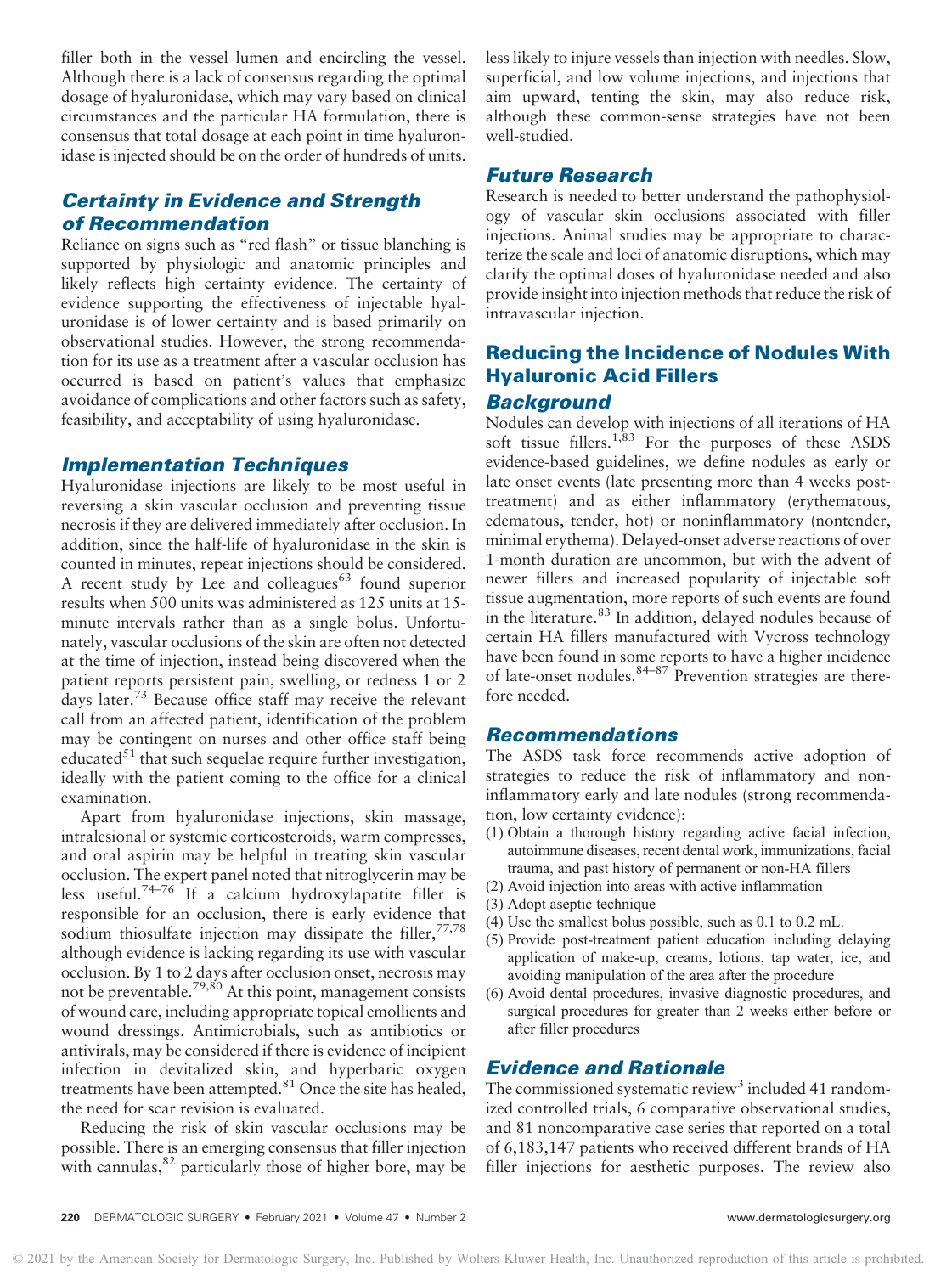filler both in the vessel lumen and encircling the vessel. Although there is a lack of consensus regarding the optimal dosage of hyaluronidase, which may vary based on clinical circumstances and the particular HA formulation, there is consensus that total dosage at each point in time hyaluronidase is injected should be on the order of hundreds of units.

# Certainty in Evidence and Strength of Recommendation

Reliance on signs such as "red flash" or tissue blanching is supported by physiologic and anatomic principles and likely reflects high certainty evidence. The certainty of evidence supporting the effectiveness of injectable hyaluronidase is of lower certainty and is based primarily on observational studies. However, the strong recommendation for its use as a treatment after a vascular occlusion has occurred is based on patient's values that emphasize avoidance of complications and other factors such as safety, feasibility, and acceptability of using hyaluronidase.

# Implementation Techniques

Hyaluronidase injections are likely to be most useful in reversing a skin vascular occlusion and preventing tissue necrosis if they are delivered immediately after occlusion. In addition, since the half-life of hyaluronidase in the skin is counted in minutes, repeat injections should be considered. A recent study by Lee and colleagues<sup>63</sup> found superior results when 500 units was administered as 125 units at 15 minute intervals rather than as a single bolus. Unfortunately, vascular occlusions of the skin are often not detected at the time of injection, instead being discovered when the patient reports persistent pain, swelling, or redness 1 or 2 days later.<sup>73</sup> Because office staff may receive the relevant call from an affected patient, identification of the problem may be contingent on nurses and other office staff being educated $^{51}$  that such sequelae require further investigation, ideally with the patient coming to the office for a clinical examination.

Apart from hyaluronidase injections, skin massage, intralesional or systemic corticosteroids, warm compresses, and oral aspirin may be helpful in treating skin vascular occlusion. The expert panel noted that nitroglycerin may be less useful.<sup>74–76</sup> If a calcium hydroxylapatite filler is responsible for an occlusion, there is early evidence that sodium thiosulfate injection may dissipate the filler,  $77,78$ although evidence is lacking regarding its use with vascular occlusion. By 1 to 2 days after occlusion onset, necrosis may not be preventable.<sup>79,80</sup> At this point, management consists of wound care, including appropriate topical emollients and wound dressings. Antimicrobials, such as antibiotics or antivirals, may be considered if there is evidence of incipient infection in devitalized skin, and hyperbaric oxygen treatments have been attempted.<sup>81</sup> Once the site has healed, the need for scar revision is evaluated.

Reducing the risk of skin vascular occlusions may be possible. There is an emerging consensus that filler injection with cannulas, $82$  particularly those of higher bore, may be less likely to injure vessels than injection with needles. Slow, superficial, and low volume injections, and injections that aim upward, tenting the skin, may also reduce risk, although these common-sense strategies have not been well-studied.

# Future Research

Research is needed to better understand the pathophysiology of vascular skin occlusions associated with filler injections. Animal studies may be appropriate to characterize the scale and loci of anatomic disruptions, which may clarify the optimal doses of hyaluronidase needed and also provide insight into injection methods that reduce the risk of intravascular injection.

# Reducing the Incidence of Nodules With Hyaluronic Acid Fillers

# **Background**

Nodules can develop with injections of all iterations of HA soft tissue fillers.<sup>1,83</sup> For the purposes of these ASDS evidence-based guidelines, we define nodules as early or late onset events (late presenting more than 4 weeks posttreatment) and as either inflammatory (erythematous, edematous, tender, hot) or noninflammatory (nontender, minimal erythema). Delayed-onset adverse reactions of over 1-month duration are uncommon, but with the advent of newer fillers and increased popularity of injectable soft tissue augmentation, more reports of such events are found in the literature.<sup>83</sup> In addition, delayed nodules because of certain HA fillers manufactured with Vycross technology have been found in some reports to have a higher incidence of late-onset nodules.<sup>84-87</sup> Prevention strategies are therefore needed.

### Recommendations

The ASDS task force recommends active adoption of strategies to reduce the risk of inflammatory and noninflammatory early and late nodules (strong recommendation, low certainty evidence):

- (1) Obtain a thorough history regarding active facial infection, autoimmune diseases, recent dental work, immunizations, facial trauma, and past history of permanent or non-HA fillers
- (2) Avoid injection into areas with active inflammation
- (3) Adopt aseptic technique
- (4) Use the smallest bolus possible, such as 0.1 to 0.2 mL.
- (5) Provide post-treatment patient education including delaying application of make-up, creams, lotions, tap water, ice, and avoiding manipulation of the area after the procedure
- (6) Avoid dental procedures, invasive diagnostic procedures, and surgical procedures for greater than 2 weeks either before or after filler procedures

# Evidence and Rationale

The commissioned systematic review<sup>3</sup> included 41 randomized controlled trials, 6 comparative observational studies, and 81 noncomparative case series that reported on a total of 6,183,147 patients who received different brands of HA filler injections for aesthetic purposes. The review also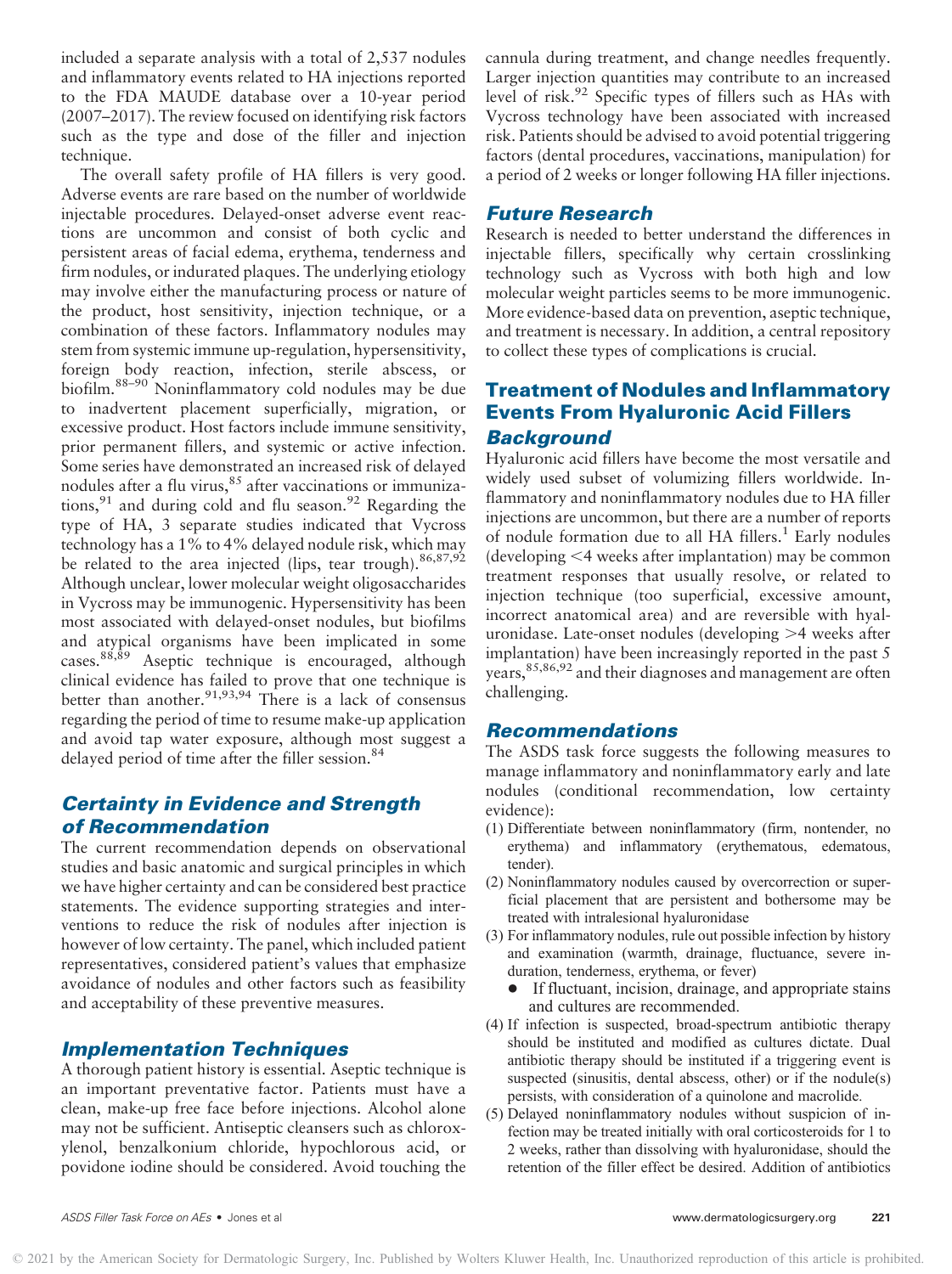included a separate analysis with a total of 2,537 nodules and inflammatory events related to HA injections reported to the FDA MAUDE database over a 10-year period (2007–2017). The review focused on identifying risk factors such as the type and dose of the filler and injection technique.

The overall safety profile of HA fillers is very good. Adverse events are rare based on the number of worldwide injectable procedures. Delayed-onset adverse event reactions are uncommon and consist of both cyclic and persistent areas of facial edema, erythema, tenderness and firm nodules, or indurated plaques. The underlying etiology may involve either the manufacturing process or nature of the product, host sensitivity, injection technique, or a combination of these factors. Inflammatory nodules may stem from systemic immune up-regulation, hypersensitivity, foreign body reaction, infection, sterile abscess, or biofilm.88–<sup>90</sup> Noninflammatory cold nodules may be due to inadvertent placement superficially, migration, or excessive product. Host factors include immune sensitivity, prior permanent fillers, and systemic or active infection. Some series have demonstrated an increased risk of delayed nodules after a flu virus,  $85$  after vaccinations or immunizations,  $91$  and during cold and flu season.  $92$  Regarding the type of HA, 3 separate studies indicated that Vycross technology has a 1% to 4% delayed nodule risk, which may be related to the area injected (lips, tear trough).  $86,87,92$ Although unclear, lower molecular weight oligosaccharides in Vycross may be immunogenic. Hypersensitivity has been most associated with delayed-onset nodules, but biofilms and atypical organisms have been implicated in some cases.  $88,89$  Aseptic technique is encouraged, although clinical evidence has failed to prove that one technique is better than another.<sup>91,93,94</sup> There is a lack of consensus regarding the period of time to resume make-up application and avoid tap water exposure, although most suggest a delayed period of time after the filler session.<sup>84</sup>

# Certainty in Evidence and Strength of Recommendation

The current recommendation depends on observational studies and basic anatomic and surgical principles in which we have higher certainty and can be considered best practice statements. The evidence supporting strategies and interventions to reduce the risk of nodules after injection is however of low certainty. The panel, which included patient representatives, considered patient's values that emphasize avoidance of nodules and other factors such as feasibility and acceptability of these preventive measures.

# Implementation Techniques

A thorough patient history is essential. Aseptic technique is an important preventative factor. Patients must have a clean, make-up free face before injections. Alcohol alone may not be sufficient. Antiseptic cleansers such as chloroxylenol, benzalkonium chloride, hypochlorous acid, or povidone iodine should be considered. Avoid touching the

cannula during treatment, and change needles frequently. Larger injection quantities may contribute to an increased level of risk.<sup>92</sup> Specific types of fillers such as HAs with Vycross technology have been associated with increased risk. Patients should be advised to avoid potential triggering factors (dental procedures, vaccinations, manipulation) for a period of 2 weeks or longer following HA filler injections.

# Future Research

Research is needed to better understand the differences in injectable fillers, specifically why certain crosslinking technology such as Vycross with both high and low molecular weight particles seems to be more immunogenic. More evidence-based data on prevention, aseptic technique, and treatment is necessary. In addition, a central repository to collect these types of complications is crucial.

# Treatment of Nodules and Inflammatory Events From Hyaluronic Acid Fillers Background

Hyaluronic acid fillers have become the most versatile and widely used subset of volumizing fillers worldwide. Inflammatory and noninflammatory nodules due to HA filler injections are uncommon, but there are a number of reports of nodule formation due to all HA fillers. $<sup>1</sup>$  Early nodules</sup>  $(developing < 4$  weeks after implantation) may be common treatment responses that usually resolve, or related to injection technique (too superficial, excessive amount, incorrect anatomical area) and are reversible with hyaluronidase. Late-onset nodules (developing  $>4$  weeks after implantation) have been increasingly reported in the past 5 years, <sup>85,86,92</sup> and their diagnoses and management are often challenging.

### Recommendations

The ASDS task force suggests the following measures to manage inflammatory and noninflammatory early and late nodules (conditional recommendation, low certainty evidence):

- (1) Differentiate between noninflammatory (firm, nontender, no erythema) and inflammatory (erythematous, edematous, tender).
- (2) Noninflammatory nodules caused by overcorrection or superficial placement that are persistent and bothersome may be treated with intralesional hyaluronidase
- (3) For inflammatory nodules, rule out possible infection by history and examination (warmth, drainage, fluctuance, severe induration, tenderness, erythema, or fever)
	- $\bullet$  If fluctuant, incision, drainage, and appropriate stains and cultures are recommended.
- (4) If infection is suspected, broad-spectrum antibiotic therapy should be instituted and modified as cultures dictate. Dual antibiotic therapy should be instituted if a triggering event is suspected (sinusitis, dental abscess, other) or if the nodule(s) persists, with consideration of a quinolone and macrolide.
- (5) Delayed noninflammatory nodules without suspicion of infection may be treated initially with oral corticosteroids for 1 to 2 weeks, rather than dissolving with hyaluronidase, should the retention of the filler effect be desired. Addition of antibiotics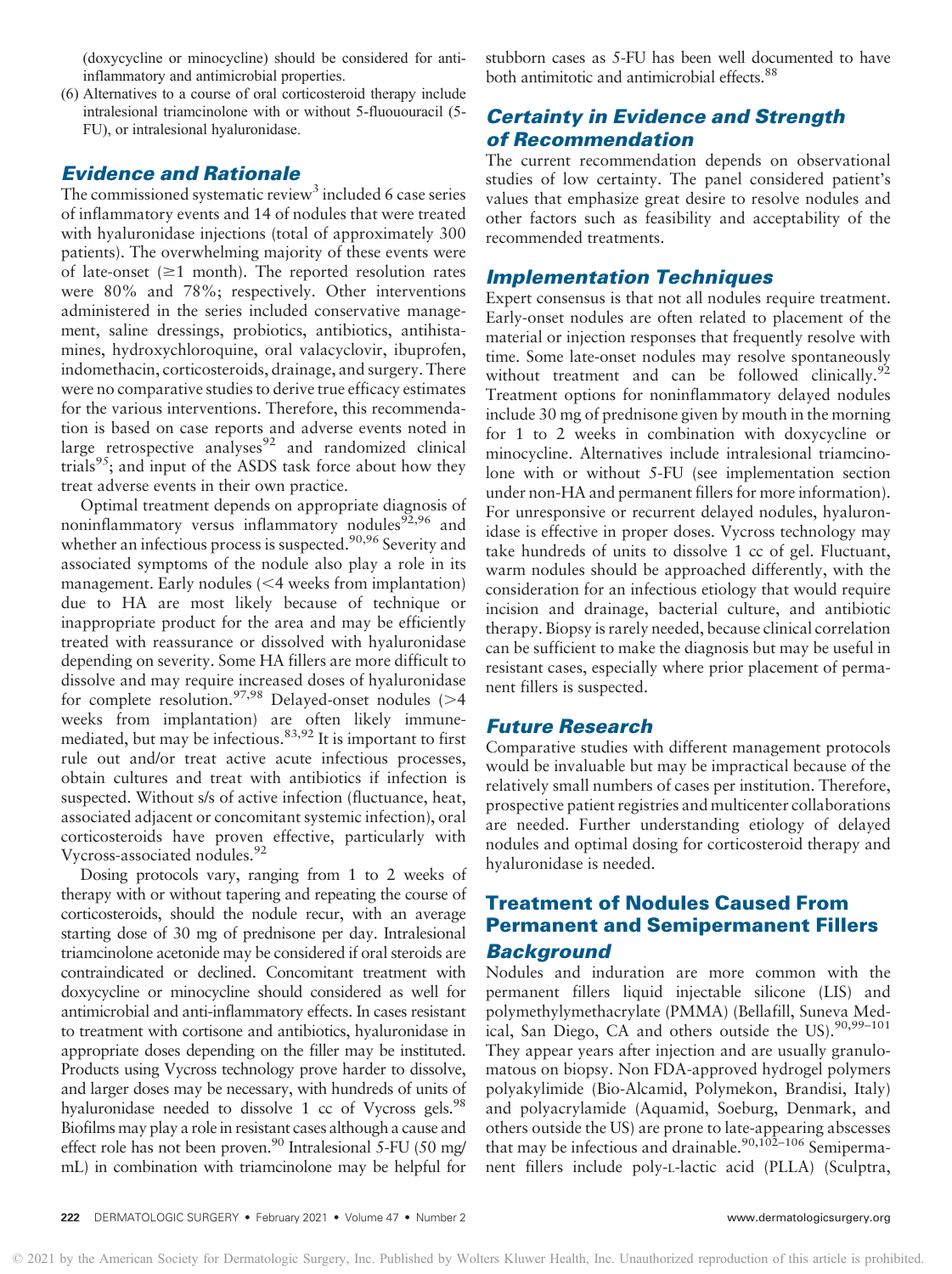(doxycycline or minocycline) should be considered for antiinflammatory and antimicrobial properties.

(6) Alternatives to a course of oral corticosteroid therapy include intralesional triamcinolone with or without 5-fluououracil (5- FU), or intralesional hyaluronidase.

# Evidence and Rationale

The commissioned systematic review<sup>3</sup> included 6 case series of inflammatory events and 14 of nodules that were treated with hyaluronidase injections (total of approximately 300 patients). The overwhelming majority of these events were of late-onset  $(\geq 1$  month). The reported resolution rates were 80% and 78%; respectively. Other interventions administered in the series included conservative management, saline dressings, probiotics, antibiotics, antihistamines, hydroxychloroquine, oral valacyclovir, ibuprofen, indomethacin, corticosteroids, drainage, and surgery. There were no comparative studies to derive true efficacy estimates for the various interventions. Therefore, this recommendation is based on case reports and adverse events noted in large retrospective analyses $92$  and randomized clinical trials<sup>95</sup>; and input of the ASDS task force about how they treat adverse events in their own practice.

Optimal treatment depends on appropriate diagnosis of noninflammatory versus inflammatory nodules $92,96$  and whether an infectious process is suspected.<sup>90,96</sup> Severity and associated symptoms of the nodule also play a role in its management. Early nodules  $\leq 4$  weeks from implantation) due to HA are most likely because of technique or inappropriate product for the area and may be efficiently treated with reassurance or dissolved with hyaluronidase depending on severity. Some HA fillers are more difficult to dissolve and may require increased doses of hyaluronidase for complete resolution.<sup>97,98</sup> Delayed-onset nodules ( $>4$ weeks from implantation) are often likely immunemediated, but may be infectious.<sup>83,92</sup> It is important to first rule out and/or treat active acute infectious processes, obtain cultures and treat with antibiotics if infection is suspected. Without s/s of active infection (fluctuance, heat, associated adjacent or concomitant systemic infection), oral corticosteroids have proven effective, particularly with Vycross-associated nodules.<sup>92</sup>

Dosing protocols vary, ranging from 1 to 2 weeks of therapy with or without tapering and repeating the course of corticosteroids, should the nodule recur, with an average starting dose of 30 mg of prednisone per day. Intralesional triamcinolone acetonide may be considered if oral steroids are contraindicated or declined. Concomitant treatment with doxycycline or minocycline should considered as well for antimicrobial and anti-inflammatory effects. In cases resistant to treatment with cortisone and antibiotics, hyaluronidase in appropriate doses depending on the filler may be instituted. Products using Vycross technology prove harder to dissolve, and larger doses may be necessary, with hundreds of units of hyaluronidase needed to dissolve 1  $cc$  of Vycross gels.<sup>98</sup> Biofilms may play a role in resistant cases although a cause and effect role has not been proven.<sup>90</sup> Intralesional 5-FU (50 mg/ mL) in combination with triamcinolone may be helpful for

stubborn cases as 5-FU has been well documented to have both antimitotic and antimicrobial effects.<sup>88</sup>

# Certainty in Evidence and Strength of Recommendation

The current recommendation depends on observational studies of low certainty. The panel considered patient's values that emphasize great desire to resolve nodules and other factors such as feasibility and acceptability of the recommended treatments.

## Implementation Techniques

Expert consensus is that not all nodules require treatment. Early-onset nodules are often related to placement of the material or injection responses that frequently resolve with time. Some late-onset nodules may resolve spontaneously without treatment and can be followed clinically.<sup>92</sup> Treatment options for noninflammatory delayed nodules include 30 mg of prednisone given by mouth in the morning for 1 to 2 weeks in combination with doxycycline or minocycline. Alternatives include intralesional triamcinolone with or without 5-FU (see implementation section under non-HA and permanent fillers for more information). For unresponsive or recurrent delayed nodules, hyaluronidase is effective in proper doses. Vycross technology may take hundreds of units to dissolve 1 cc of gel. Fluctuant, warm nodules should be approached differently, with the consideration for an infectious etiology that would require incision and drainage, bacterial culture, and antibiotic therapy. Biopsy is rarely needed, because clinical correlation can be sufficient to make the diagnosis but may be useful in resistant cases, especially where prior placement of permanent fillers is suspected.

### Future Research

Comparative studies with different management protocols would be invaluable but may be impractical because of the relatively small numbers of cases per institution. Therefore, prospective patient registries and multicenter collaborations are needed. Further understanding etiology of delayed nodules and optimal dosing for corticosteroid therapy and hyaluronidase is needed.

# Treatment of Nodules Caused From Permanent and Semipermanent Fillers Background

Nodules and induration are more common with the permanent fillers liquid injectable silicone (LIS) and polymethylymethacrylate (PMMA) (Bellafill, Suneva Medical, San Diego, CA and others outside the US).<sup>90,99-101</sup> They appear years after injection and are usually granulomatous on biopsy. Non FDA-approved hydrogel polymers polyakylimide (Bio-Alcamid, Polymekon, Brandisi, Italy) and polyacrylamide (Aquamid, Soeburg, Denmark, and others outside the US) are prone to late-appearing abscesses that may be infectious and drainable.<sup>90,102–106</sup> Semipermanent fillers include poly-L-lactic acid (PLLA) (Sculptra,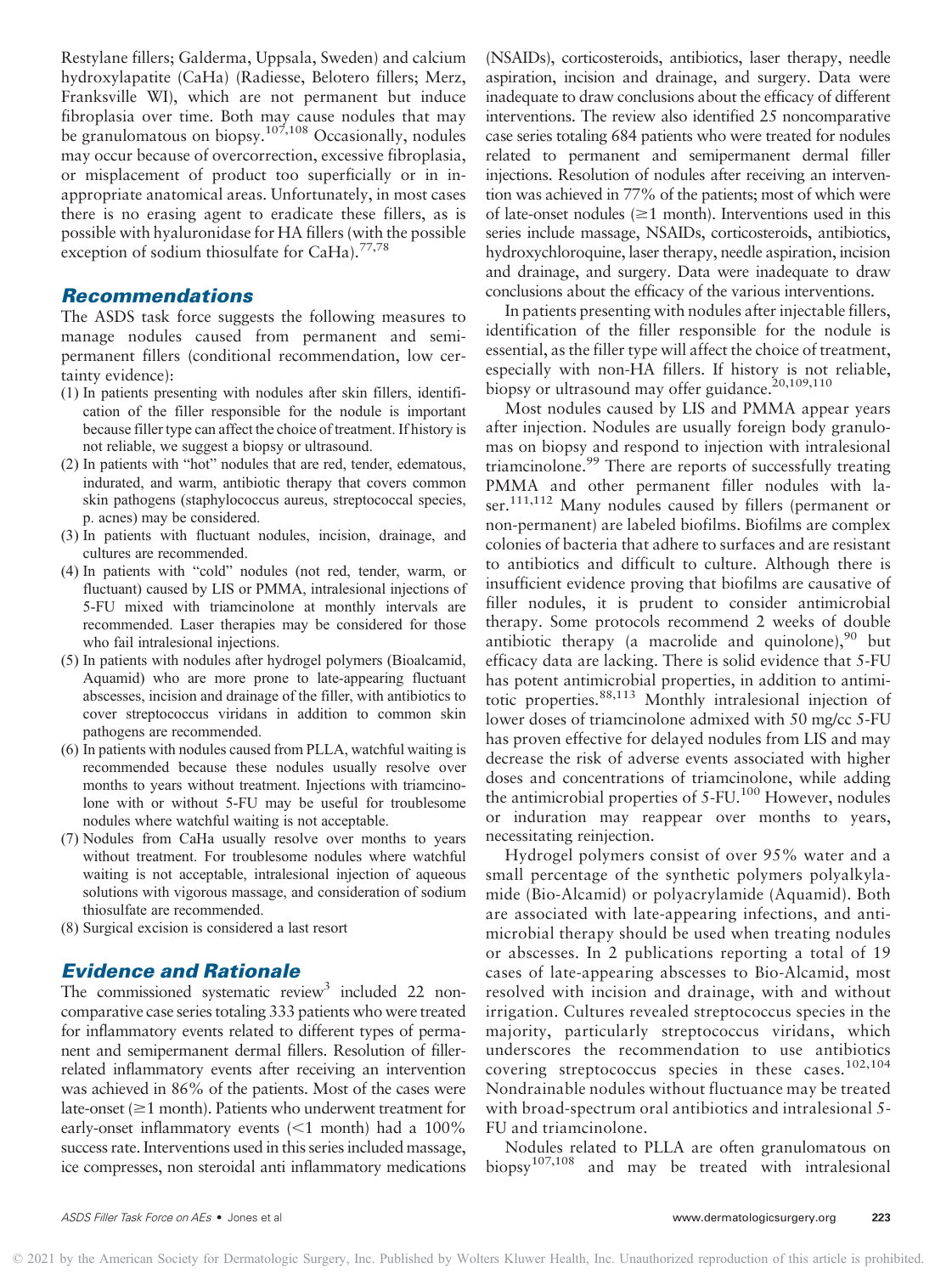Restylane fillers; Galderma, Uppsala, Sweden) and calcium hydroxylapatite (CaHa) (Radiesse, Belotero fillers; Merz, Franksville WI), which are not permanent but induce fibroplasia over time. Both may cause nodules that may be granulomatous on biopsy.<sup>107,108</sup> Occasionally, nodules may occur because of overcorrection, excessive fibroplasia, or misplacement of product too superficially or in inappropriate anatomical areas. Unfortunately, in most cases there is no erasing agent to eradicate these fillers, as is possible with hyaluronidase for HA fillers (with the possible exception of sodium thiosulfate for CaHa). $^{77,78}$ 

# Recommendations

The ASDS task force suggests the following measures to manage nodules caused from permanent and semipermanent fillers (conditional recommendation, low certainty evidence):

- (1) In patients presenting with nodules after skin fillers, identification of the filler responsible for the nodule is important because filler type can affect the choice of treatment. If history is not reliable, we suggest a biopsy or ultrasound.
- (2) In patients with "hot" nodules that are red, tender, edematous, indurated, and warm, antibiotic therapy that covers common skin pathogens (staphylococcus aureus, streptococcal species, p. acnes) may be considered.
- (3) In patients with fluctuant nodules, incision, drainage, and cultures are recommended.
- (4) In patients with "cold" nodules (not red, tender, warm, or fluctuant) caused by LIS or PMMA, intralesional injections of 5-FU mixed with triamcinolone at monthly intervals are recommended. Laser therapies may be considered for those who fail intralesional injections.
- (5) In patients with nodules after hydrogel polymers (Bioalcamid, Aquamid) who are more prone to late-appearing fluctuant abscesses, incision and drainage of the filler, with antibiotics to cover streptococcus viridans in addition to common skin pathogens are recommended.
- (6) In patients with nodules caused from PLLA, watchful waiting is recommended because these nodules usually resolve over months to years without treatment. Injections with triamcinolone with or without 5-FU may be useful for troublesome nodules where watchful waiting is not acceptable.
- (7) Nodules from CaHa usually resolve over months to years without treatment. For troublesome nodules where watchful waiting is not acceptable, intralesional injection of aqueous solutions with vigorous massage, and consideration of sodium thiosulfate are recommended.
- (8) Surgical excision is considered a last resort

### Evidence and Rationale

The commissioned systematic review<sup>3</sup> included 22 noncomparative case series totaling 333 patients who were treated for inflammatory events related to different types of permanent and semipermanent dermal fillers. Resolution of fillerrelated inflammatory events after receiving an intervention was achieved in 86% of the patients. Most of the cases were late-onset  $(\geq 1$  month). Patients who underwent treatment for early-onset inflammatory events  $\leq 1$  month) had a 100% success rate. Interventions used in this series included massage, ice compresses, non steroidal anti inflammatory medications

(NSAIDs), corticosteroids, antibiotics, laser therapy, needle aspiration, incision and drainage, and surgery. Data were inadequate to draw conclusions about the efficacy of different interventions. The review also identified 25 noncomparative case series totaling 684 patients who were treated for nodules related to permanent and semipermanent dermal filler injections. Resolution of nodules after receiving an intervention was achieved in 77% of the patients; most of which were of late-onset nodules  $(\geq 1$  month). Interventions used in this series include massage, NSAIDs, corticosteroids, antibiotics, hydroxychloroquine, laser therapy, needle aspiration, incision and drainage, and surgery. Data were inadequate to draw conclusions about the efficacy of the various interventions.

In patients presenting with nodules after injectable fillers, identification of the filler responsible for the nodule is essential, as the filler type will affect the choice of treatment, especially with non-HA fillers. If history is not reliable, biopsy or ultrasound may offer guidance.<sup>20,109,110</sup>

Most nodules caused by LIS and PMMA appear years after injection. Nodules are usually foreign body granulomas on biopsy and respond to injection with intralesional triamcinolone.<sup>99</sup> There are reports of successfully treating PMMA and other permanent filler nodules with laser.<sup>111,112</sup> Many nodules caused by fillers (permanent or non-permanent) are labeled biofilms. Biofilms are complex colonies of bacteria that adhere to surfaces and are resistant to antibiotics and difficult to culture. Although there is insufficient evidence proving that biofilms are causative of filler nodules, it is prudent to consider antimicrobial therapy. Some protocols recommend 2 weeks of double antibiotic therapy (a macrolide and quinolone), $^{90}$  but efficacy data are lacking. There is solid evidence that 5-FU has potent antimicrobial properties, in addition to antimitotic properties.88,113 Monthly intralesional injection of lower doses of triamcinolone admixed with 50 mg/cc 5-FU has proven effective for delayed nodules from LIS and may decrease the risk of adverse events associated with higher doses and concentrations of triamcinolone, while adding the antimicrobial properties of 5-FU.<sup>100</sup> However, nodules or induration may reappear over months to years, necessitating reinjection.

Hydrogel polymers consist of over 95% water and a small percentage of the synthetic polymers polyalkylamide (Bio-Alcamid) or polyacrylamide (Aquamid). Both are associated with late-appearing infections, and antimicrobial therapy should be used when treating nodules or abscesses. In 2 publications reporting a total of 19 cases of late-appearing abscesses to Bio-Alcamid, most resolved with incision and drainage, with and without irrigation. Cultures revealed streptococcus species in the majority, particularly streptococcus viridans, which underscores the recommendation to use antibiotics covering streptococcus species in these cases.<sup>102,104</sup> Nondrainable nodules without fluctuance may be treated with broad-spectrum oral antibiotics and intralesional 5- FU and triamcinolone.

Nodules related to PLLA are often granulomatous on biopsy107,108 and may be treated with intralesional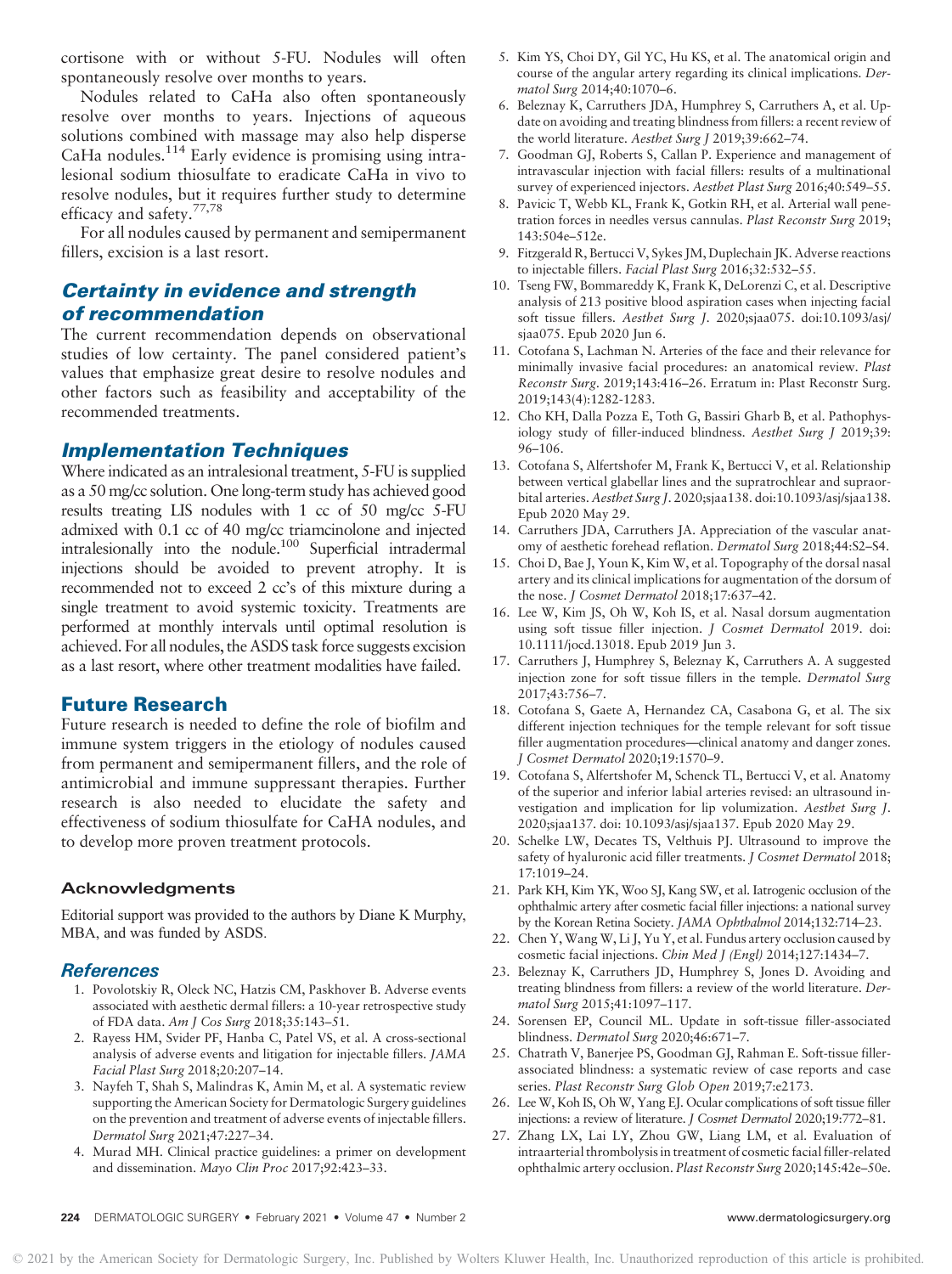cortisone with or without 5-FU. Nodules will often spontaneously resolve over months to years.

Nodules related to CaHa also often spontaneously resolve over months to years. Injections of aqueous solutions combined with massage may also help disperse  $CaHa$  nodules.<sup>114</sup> Early evidence is promising using intralesional sodium thiosulfate to eradicate CaHa in vivo to resolve nodules, but it requires further study to determine efficacy and safety.77,78

For all nodules caused by permanent and semipermanent fillers, excision is a last resort.

# Certainty in evidence and strength of recommendation

The current recommendation depends on observational studies of low certainty. The panel considered patient's values that emphasize great desire to resolve nodules and other factors such as feasibility and acceptability of the recommended treatments.

### Implementation Techniques

Where indicated as an intralesional treatment, 5-FU is supplied as a 50 mg/cc solution. One long-term study has achieved good results treating LIS nodules with 1 cc of 50 mg/cc 5-FU admixed with 0.1 cc of 40 mg/cc triamcinolone and injected intralesionally into the nodule.100 Superficial intradermal injections should be avoided to prevent atrophy. It is recommended not to exceed 2 cc's of this mixture during a single treatment to avoid systemic toxicity. Treatments are performed at monthly intervals until optimal resolution is achieved. For all nodules, the ASDS task force suggests excision as a last resort, where other treatment modalities have failed.

### Future Research

Future research is needed to define the role of biofilm and immune system triggers in the etiology of nodules caused from permanent and semipermanent fillers, and the role of antimicrobial and immune suppressant therapies. Further research is also needed to elucidate the safety and effectiveness of sodium thiosulfate for CaHA nodules, and to develop more proven treatment protocols.

### Acknowledgments

Editorial support was provided to the authors by Diane K Murphy, MBA, and was funded by ASDS.

### References

- 1. Povolotskiy R, Oleck NC, Hatzis CM, Paskhover B. Adverse events associated with aesthetic dermal fillers: a 10-year retrospective study of FDA data. Am J Cos Surg 2018;35:143–51.
- 2. Rayess HM, Svider PF, Hanba C, Patel VS, et al. A cross-sectional analysis of adverse events and litigation for injectable fillers. JAMA Facial Plast Surg 2018;20:207–14.
- 3. Nayfeh T, Shah S, Malindras K, Amin M, et al. A systematic review supporting the American Society for Dermatologic Surgery guidelines on the prevention and treatment of adverse events of injectable fillers. Dermatol Surg 2021;47:227–34.
- 4. Murad MH. Clinical practice guidelines: a primer on development and dissemination. Mayo Clin Proc 2017;92:423–33.
- 5. Kim YS, Choi DY, Gil YC, Hu KS, et al. The anatomical origin and course of the angular artery regarding its clinical implications. Dermatol Surg 2014;40:1070–6.
- 6. Beleznay K, Carruthers JDA, Humphrey S, Carruthers A, et al. Update on avoiding and treating blindness from fillers: a recent review of the world literature. Aesthet Surg J 2019;39:662–74.
- 7. Goodman GJ, Roberts S, Callan P. Experience and management of intravascular injection with facial fillers: results of a multinational survey of experienced injectors. Aesthet Plast Surg 2016;40:549-55.
- 8. Pavicic T, Webb KL, Frank K, Gotkin RH, et al. Arterial wall penetration forces in needles versus cannulas. Plast Reconstr Surg 2019; 143:504e–512e.
- 9. Fitzgerald R, Bertucci V, Sykes JM, Duplechain JK. Adverse reactions to injectable fillers. Facial Plast Surg 2016;32:532–55.
- 10. Tseng FW, Bommareddy K, Frank K, DeLorenzi C, et al. Descriptive analysis of 213 positive blood aspiration cases when injecting facial soft tissue fillers. Aesthet Surg J. 2020;sjaa075. doi:10.1093/asj/ sjaa075. Epub 2020 Jun 6.
- 11. Cotofana S, Lachman N. Arteries of the face and their relevance for minimally invasive facial procedures: an anatomical review. Plast Reconstr Surg. 2019;143:416–26. Erratum in: Plast Reconstr Surg. 2019;143(4):1282-1283.
- 12. Cho KH, Dalla Pozza E, Toth G, Bassiri Gharb B, et al. Pathophysiology study of filler-induced blindness. Aesthet Surg J 2019;39: 96–106.
- 13. Cotofana S, Alfertshofer M, Frank K, Bertucci V, et al. Relationship between vertical glabellar lines and the supratrochlear and supraorbital arteries. Aesthet Surg J. 2020;sjaa138. doi:10.1093/asj/sjaa138. Epub 2020 May 29.
- 14. Carruthers JDA, Carruthers JA. Appreciation of the vascular anatomy of aesthetic forehead reflation. Dermatol Surg 2018;44:S2–S4.
- 15. Choi D, Bae J, Youn K, Kim W, et al. Topography of the dorsal nasal artery and its clinical implications for augmentation of the dorsum of the nose. J Cosmet Dermatol 2018;17:637-42.
- 16. Lee W, Kim JS, Oh W, Koh IS, et al. Nasal dorsum augmentation using soft tissue filler injection. J Cosmet Dermatol 2019. doi: 10.1111/jocd.13018. Epub 2019 Jun 3.
- 17. Carruthers J, Humphrey S, Beleznay K, Carruthers A. A suggested injection zone for soft tissue fillers in the temple. Dermatol Surg 2017;43:756–7.
- 18. Cotofana S, Gaete A, Hernandez CA, Casabona G, et al. The six different injection techniques for the temple relevant for soft tissue filler augmentation procedures—clinical anatomy and danger zones. J Cosmet Dermatol 2020;19:1570–9.
- 19. Cotofana S, Alfertshofer M, Schenck TL, Bertucci V, et al. Anatomy of the superior and inferior labial arteries revised: an ultrasound investigation and implication for lip volumization. Aesthet Surg J. 2020;sjaa137. doi: 10.1093/asj/sjaa137. Epub 2020 May 29.
- 20. Schelke LW, Decates TS, Velthuis PJ. Ultrasound to improve the safety of hyaluronic acid filler treatments. J Cosmet Dermatol 2018; 17:1019–24.
- 21. Park KH, Kim YK, Woo SJ, Kang SW, et al. Iatrogenic occlusion of the ophthalmic artery after cosmetic facial filler injections: a national survey by the Korean Retina Society. JAMA Ophthalmol 2014;132:714–23.
- 22. Chen Y, Wang W, Li J, Yu Y, et al. Fundus artery occlusion caused by cosmetic facial injections. Chin Med J (Engl) 2014;127:1434–7.
- 23. Beleznay K, Carruthers JD, Humphrey S, Jones D. Avoiding and treating blindness from fillers: a review of the world literature. Dermatol Surg 2015;41:1097–117.
- 24. Sorensen EP, Council ML. Update in soft-tissue filler-associated blindness. Dermatol Surg 2020;46:671–7.
- 25. Chatrath V, Banerjee PS, Goodman GJ, Rahman E. Soft-tissue fillerassociated blindness: a systematic review of case reports and case series. Plast Reconstr Surg Glob Open 2019;7:e2173.
- 26. Lee W, Koh IS, Oh W, Yang EJ. Ocular complications of soft tissue filler injections: a review of literature. J Cosmet Dermatol 2020;19:772–81.
- 27. Zhang LX, Lai LY, Zhou GW, Liang LM, et al. Evaluation of intraarterial thrombolysis in treatment of cosmetic facial filler-related ophthalmic artery occlusion. Plast Reconstr Surg 2020;145:42e–50e.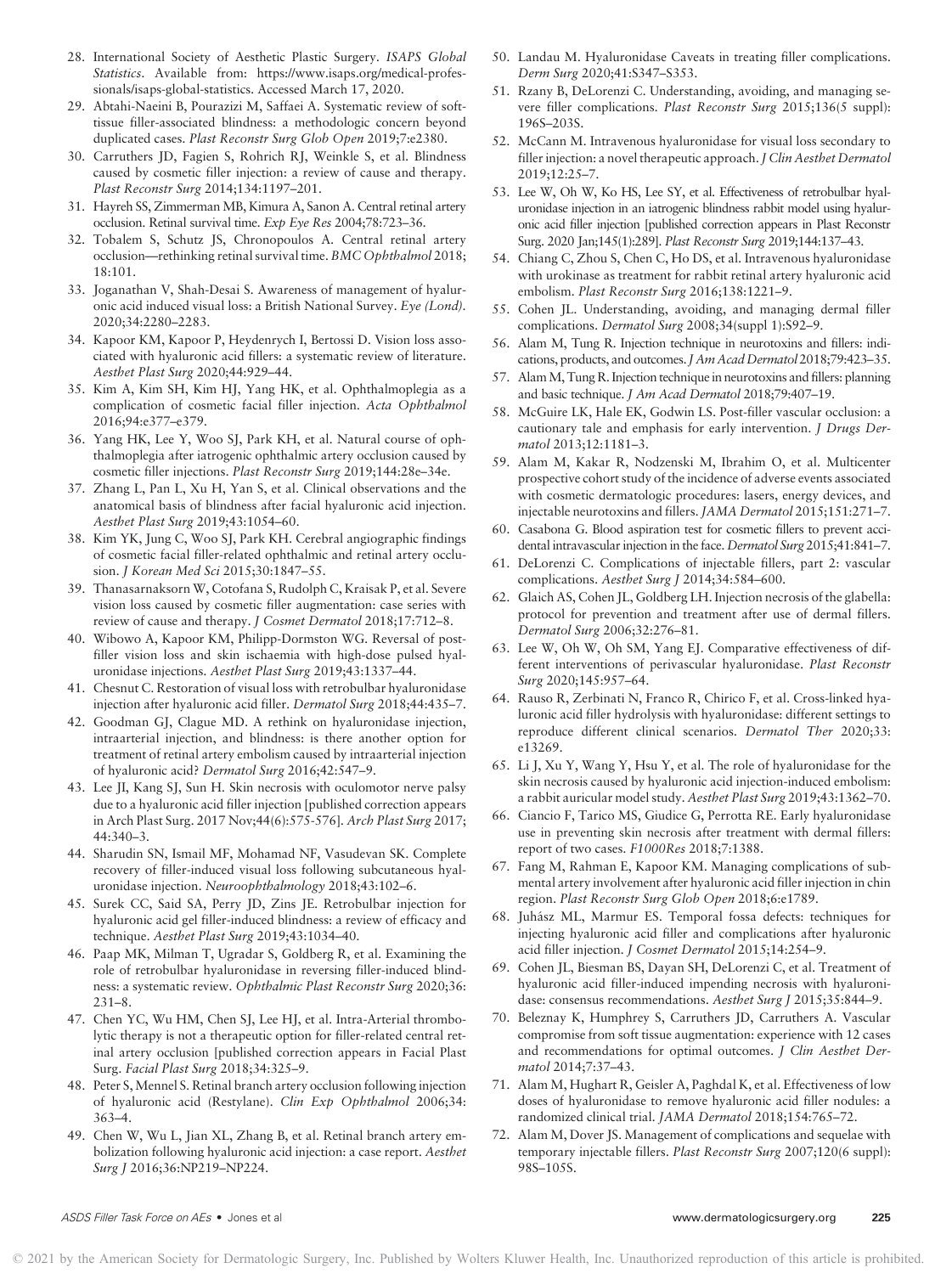- 28. International Society of Aesthetic Plastic Surgery. ISAPS Global Statistics. Available from: [https://www.isaps.org/medical-profes](https://www.isaps.org/medical-professionals/isaps-global-statistics)[sionals/isaps-global-statistics](https://www.isaps.org/medical-professionals/isaps-global-statistics). Accessed March 17, 2020.
- 29. Abtahi-Naeini B, Pourazizi M, Saffaei A. Systematic review of softtissue filler-associated blindness: a methodologic concern beyond duplicated cases. Plast Reconstr Surg Glob Open 2019;7:e2380.
- 30. Carruthers JD, Fagien S, Rohrich RJ, Weinkle S, et al. Blindness caused by cosmetic filler injection: a review of cause and therapy. Plast Reconstr Surg 2014;134:1197–201.
- 31. Hayreh SS, Zimmerman MB, Kimura A, Sanon A. Central retinal artery occlusion. Retinal survival time. Exp Eye Res 2004;78:723–36.
- 32. Tobalem S, Schutz JS, Chronopoulos A. Central retinal artery occlusion—rethinking retinal survival time. BMC Ophthalmol 2018; 18:101.
- 33. Joganathan V, Shah-Desai S. Awareness of management of hyaluronic acid induced visual loss: a British National Survey. Eye (Lond). 2020;34:2280–2283.
- 34. Kapoor KM, Kapoor P, Heydenrych I, Bertossi D. Vision loss associated with hyaluronic acid fillers: a systematic review of literature. Aesthet Plast Surg 2020;44:929–44.
- 35. Kim A, Kim SH, Kim HJ, Yang HK, et al. Ophthalmoplegia as a complication of cosmetic facial filler injection. Acta Ophthalmol 2016;94:e377–e379.
- 36. Yang HK, Lee Y, Woo SJ, Park KH, et al. Natural course of ophthalmoplegia after iatrogenic ophthalmic artery occlusion caused by cosmetic filler injections. Plast Reconstr Surg 2019;144:28e–34e.
- 37. Zhang L, Pan L, Xu H, Yan S, et al. Clinical observations and the anatomical basis of blindness after facial hyaluronic acid injection. Aesthet Plast Surg 2019;43:1054–60.
- 38. Kim YK, Jung C, Woo SJ, Park KH. Cerebral angiographic findings of cosmetic facial filler-related ophthalmic and retinal artery occlusion. J Korean Med Sci 2015;30:1847–55.
- 39. Thanasarnaksorn W, Cotofana S, Rudolph C, Kraisak P, et al. Severe vision loss caused by cosmetic filler augmentation: case series with review of cause and therapy. J Cosmet Dermatol 2018;17:712–8.
- 40. Wibowo A, Kapoor KM, Philipp-Dormston WG. Reversal of postfiller vision loss and skin ischaemia with high-dose pulsed hyaluronidase injections. Aesthet Plast Surg 2019;43:1337–44.
- 41. Chesnut C. Restoration of visual loss with retrobulbar hyaluronidase injection after hyaluronic acid filler. Dermatol Surg 2018;44:435–7.
- 42. Goodman GJ, Clague MD. A rethink on hyaluronidase injection, intraarterial injection, and blindness: is there another option for treatment of retinal artery embolism caused by intraarterial injection of hyaluronic acid? Dermatol Surg 2016;42:547–9.
- 43. Lee JI, Kang SJ, Sun H. Skin necrosis with oculomotor nerve palsy due to a hyaluronic acid filler injection [published correction appears in Arch Plast Surg. 2017 Nov;44(6):575-576]. Arch Plast Surg 2017; 44:340–3.
- 44. Sharudin SN, Ismail MF, Mohamad NF, Vasudevan SK. Complete recovery of filler-induced visual loss following subcutaneous hyaluronidase injection. Neuroophthalmology 2018;43:102–6.
- 45. Surek CC, Said SA, Perry JD, Zins JE. Retrobulbar injection for hyaluronic acid gel filler-induced blindness: a review of efficacy and technique. Aesthet Plast Surg 2019;43:1034–40.
- 46. Paap MK, Milman T, Ugradar S, Goldberg R, et al. Examining the role of retrobulbar hyaluronidase in reversing filler-induced blindness: a systematic review. Ophthalmic Plast Reconstr Surg 2020;36: 231–8.
- 47. Chen YC, Wu HM, Chen SJ, Lee HJ, et al. Intra-Arterial thrombolytic therapy is not a therapeutic option for filler-related central retinal artery occlusion [published correction appears in Facial Plast Surg. Facial Plast Surg 2018;34:325–9.
- 48. Peter S, Mennel S. Retinal branch artery occlusion following injection of hyaluronic acid (Restylane). Clin Exp Ophthalmol 2006;34: 363–4.
- 49. Chen W, Wu L, Jian XL, Zhang B, et al. Retinal branch artery embolization following hyaluronic acid injection: a case report. Aesthet Surg J 2016;36:NP219–NP224.
- 50. Landau M. Hyaluronidase Caveats in treating filler complications. Derm Surg 2020;41:S347–S353.
- 51. Rzany B, DeLorenzi C. Understanding, avoiding, and managing severe filler complications. Plast Reconstr Surg 2015;136(5 suppl): 196S–203S.
- 52. McCann M. Intravenous hyaluronidase for visual loss secondary to filler injection: a novel therapeutic approach. J Clin Aesthet Dermatol 2019;12:25–7.
- 53. Lee W, Oh W, Ko HS, Lee SY, et al. Effectiveness of retrobulbar hyaluronidase injection in an iatrogenic blindness rabbit model using hyaluronic acid filler injection [published correction appears in Plast Reconstr Surg. 2020 Jan;145(1):289]. Plast Reconstr Surg 2019;144:137–43.
- 54. Chiang C, Zhou S, Chen C, Ho DS, et al. Intravenous hyaluronidase with urokinase as treatment for rabbit retinal artery hyaluronic acid embolism. Plast Reconstr Surg 2016;138:1221–9.
- 55. Cohen JL. Understanding, avoiding, and managing dermal filler complications. Dermatol Surg 2008;34(suppl 1):S92–9.
- 56. Alam M, Tung R. Injection technique in neurotoxins and fillers: indications, products, and outcomes. J Am Acad Dermatol 2018;79:423-35.
- 57. AlamM, Tung R. Injection technique in neurotoxins and fillers: planning and basic technique. J Am Acad Dermatol 2018;79:407–19.
- 58. McGuire LK, Hale EK, Godwin LS. Post-filler vascular occlusion: a cautionary tale and emphasis for early intervention. J Drugs Dermatol 2013;12:1181–3.
- 59. Alam M, Kakar R, Nodzenski M, Ibrahim O, et al. Multicenter prospective cohort study of the incidence of adverse events associated with cosmetic dermatologic procedures: lasers, energy devices, and injectable neurotoxins and fillers. JAMA Dermatol 2015;151:271–7.
- 60. Casabona G. Blood aspiration test for cosmetic fillers to prevent accidental intravascular injection in the face. Dermatol Surg 2015;41:841–7.
- 61. DeLorenzi C. Complications of injectable fillers, part 2: vascular complications. Aesthet Surg J 2014;34:584–600.
- 62. Glaich AS, Cohen JL, Goldberg LH. Injection necrosis of the glabella: protocol for prevention and treatment after use of dermal fillers. Dermatol Surg 2006;32:276–81.
- 63. Lee W, Oh W, Oh SM, Yang EJ. Comparative effectiveness of different interventions of perivascular hyaluronidase. Plast Reconstr Surg 2020;145:957–64.
- 64. Rauso R, Zerbinati N, Franco R, Chirico F, et al. Cross-linked hyaluronic acid filler hydrolysis with hyaluronidase: different settings to reproduce different clinical scenarios. Dermatol Ther 2020;33: e13269.
- 65. Li J, Xu Y, Wang Y, Hsu Y, et al. The role of hyaluronidase for the skin necrosis caused by hyaluronic acid injection-induced embolism: a rabbit auricular model study. Aesthet Plast Surg 2019;43:1362–70.
- 66. Ciancio F, Tarico MS, Giudice G, Perrotta RE. Early hyaluronidase use in preventing skin necrosis after treatment with dermal fillers: report of two cases. F1000Res 2018;7:1388.
- 67. Fang M, Rahman E, Kapoor KM. Managing complications of submental artery involvement after hyaluronic acid filler injection in chin region. Plast Reconstr Surg Glob Open 2018;6:e1789.
- 68. Juhasz ML, Marmur ES. Temporal fossa defects: techniques for ´ injecting hyaluronic acid filler and complications after hyaluronic acid filler injection. J Cosmet Dermatol 2015;14:254–9.
- 69. Cohen JL, Biesman BS, Dayan SH, DeLorenzi C, et al. Treatment of hyaluronic acid filler-induced impending necrosis with hyaluronidase: consensus recommendations. Aesthet Surg J 2015;35:844-9.
- 70. Beleznay K, Humphrey S, Carruthers JD, Carruthers A. Vascular compromise from soft tissue augmentation: experience with 12 cases and recommendations for optimal outcomes. J Clin Aesthet Dermatol 2014;7:37–43.
- 71. Alam M, Hughart R, Geisler A, Paghdal K, et al. Effectiveness of low doses of hyaluronidase to remove hyaluronic acid filler nodules: a randomized clinical trial. JAMA Dermatol 2018;154:765–72.
- 72. Alam M, Dover JS. Management of complications and sequelae with temporary injectable fillers. Plast Reconstr Surg 2007;120(6 suppl): 98S–105S.